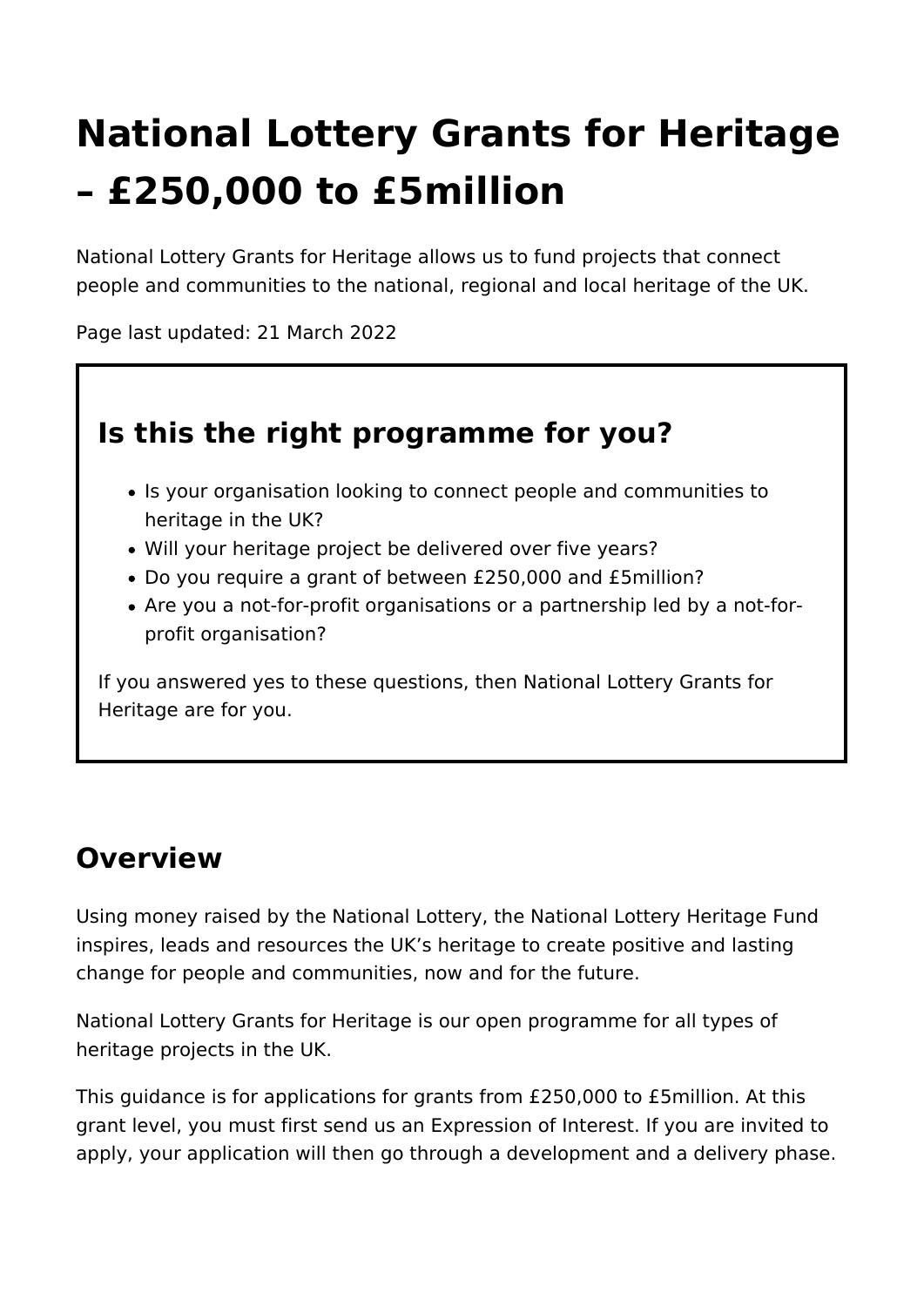# **National Lottery Grants for Heritage – £250,000 to £5million**

National Lottery Grants for Heritage allows us to fund projects that connect people and communities to the national, regional and local heritage of the UK.

Page last updated: 21 March 2022

# **Is this the right programme for you?**

- Is your organisation looking to connect people and communities to heritage in the UK?
- Will your heritage project be delivered over five years?
- Do you require a grant of between £250,000 and £5million?
- Are you a not-for-profit organisations or a partnership led by a not-forprofit organisation?

If you answered yes to these questions, then National Lottery Grants for Heritage are for you.

# **Overview**

Using money raised by the National Lottery, the National Lottery Heritage Fund inspires, leads and resources the UK's heritage to create positive and lasting change for people and communities, now and for the future.

National Lottery Grants for Heritage is our open programme for all types of heritage projects in the UK.

This guidance is for applications for grants from £250,000 to £5million. At this grant level, you must first send us an Expression of Interest. If you are invited to apply, your application will then go through a development and a delivery phase.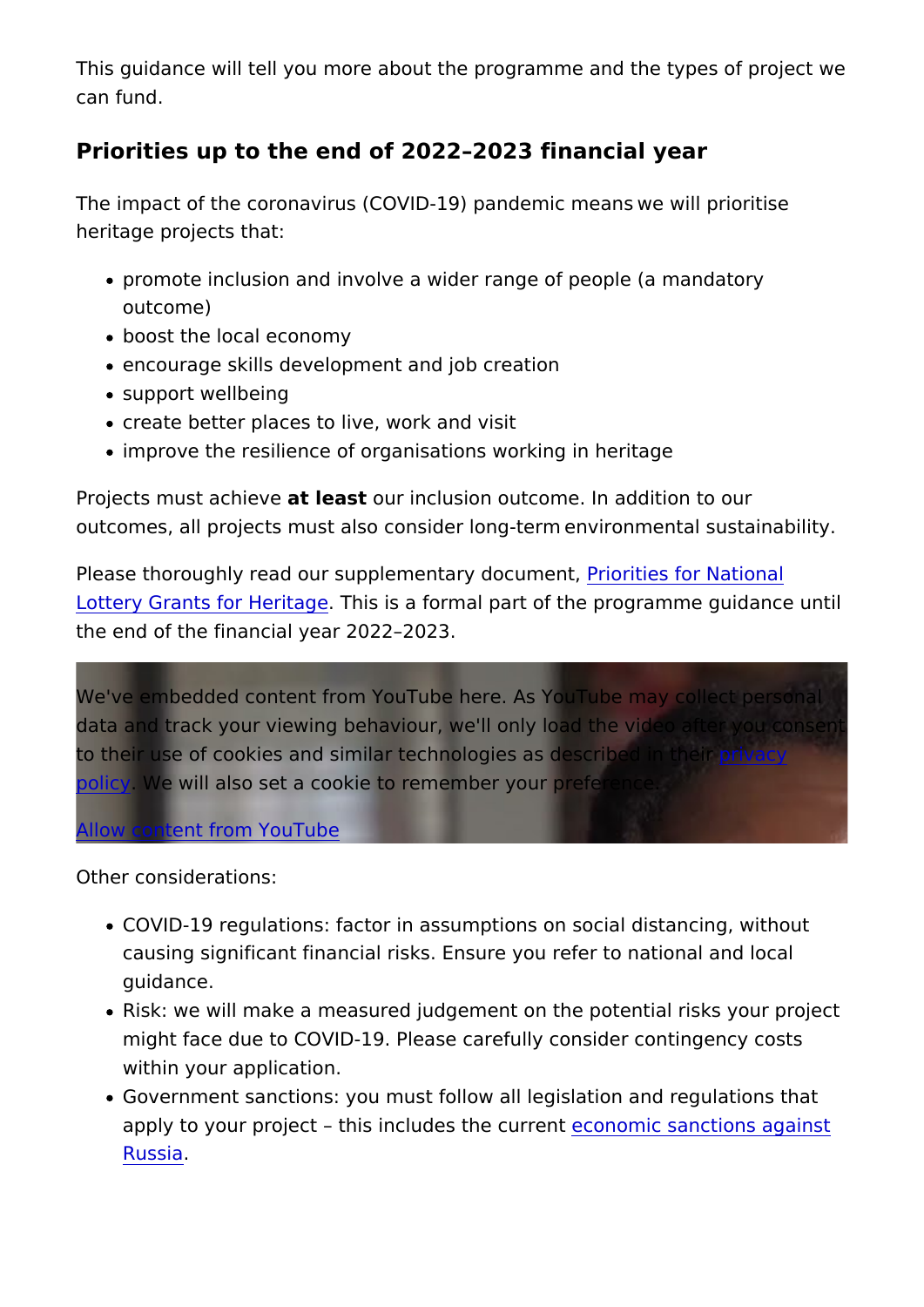This guidance will tell you more about the programme and the t can fund.

Priorities up to the end of 2022 2023 financial year

The impact of the coronavirus (COVID-19) pandemic means/we w heritage projects that:

- promote inclusion and involve a wider range of people (a ma outcome)
- boost the local economy
- encourage skills development and job creation
- support wellbeing
- create better places to live, work and visit /
- improve the resilience of organisations working in heritage

Projects must a calti e we sour inclusion outcome. In addition to our outcomes, all projects must also consider long-term/environmen

Please thoroughly read our supplement Pariyon diocum from thational [Lottery Grants for](https://www.heritagefund.org.uk/funding/priorities-national-lottery-grants-heritage) HeTrhisgis a formal part of the programme guid the end of the financial year 2022 2023.

We've embedded content from YouTube here. As YouTube may c data and track your viewing behaviour, we'll only load the vided to their use of cookies and similar technologies [as de](https://www.youtube.com/t/privacy)en sycribed in [poli](https://www.youtube.com/t/privacy)cy We will also set a cookie to remember your preference.

[Allow content from Y](https://www.heritagefund.org.uk/show-content/eyJ0eXBlIjoieXRiZSIsImlkIjoialZMTjFPTk8yV1UiLCJwYXJzZWRfdXJsIjp7InBhdGgiOiJodHRwczpcL1wveW91dHUuYmVcL2pWTE4xT05PMldVIiwicXVlcnkiOltdLCJmcmFnbWVudCI6IiJ9LCJ0aXRsZSI6IlJlZm9jdXNlZCBwcmlvcml0aWVzIGZvciBOYXRpb25hbCBMb3R0ZXJ5IEdyYW50cyBmb3IgSGVyaXRhZ2UiLCJkZWZfc2V0dCI6eyJ2aWRlb19zaXplIjoiZml4ZWQiLCJ2aWRlb193aWR0aCI6IjEwMCUiLCJ2aWRlb19oZWlnaHQiOiI0ODBweCIsImltYWdlX3dpZHRoIjozMDAsImltYWdlX2hlaWdodCI6bnVsbH0sIm5pZCI6IjExMTA4OCIsImNpZCI6InZhbHVlczpwYXJhZ3JhcGg6MzMwMiIsImNvbnNlbnQiOjF9/ajax)ouTube

Other considerations:

- COVID-19 regulations: factor in assumptions on social dista causing significant financial risks. Ensure you refer to nation guidance.
- Risk: we will make a measured judgement on the potential ri might face due to COVID-19. Please carefully consider conti within your application.
- Government sanctions: you must follow all legislation and re apply to your project this includes ot the main ream to tions agains **[Russ](https://www.heritagefund.org.uk/funding/guidance-grantees-sanctions-against-russia)ia**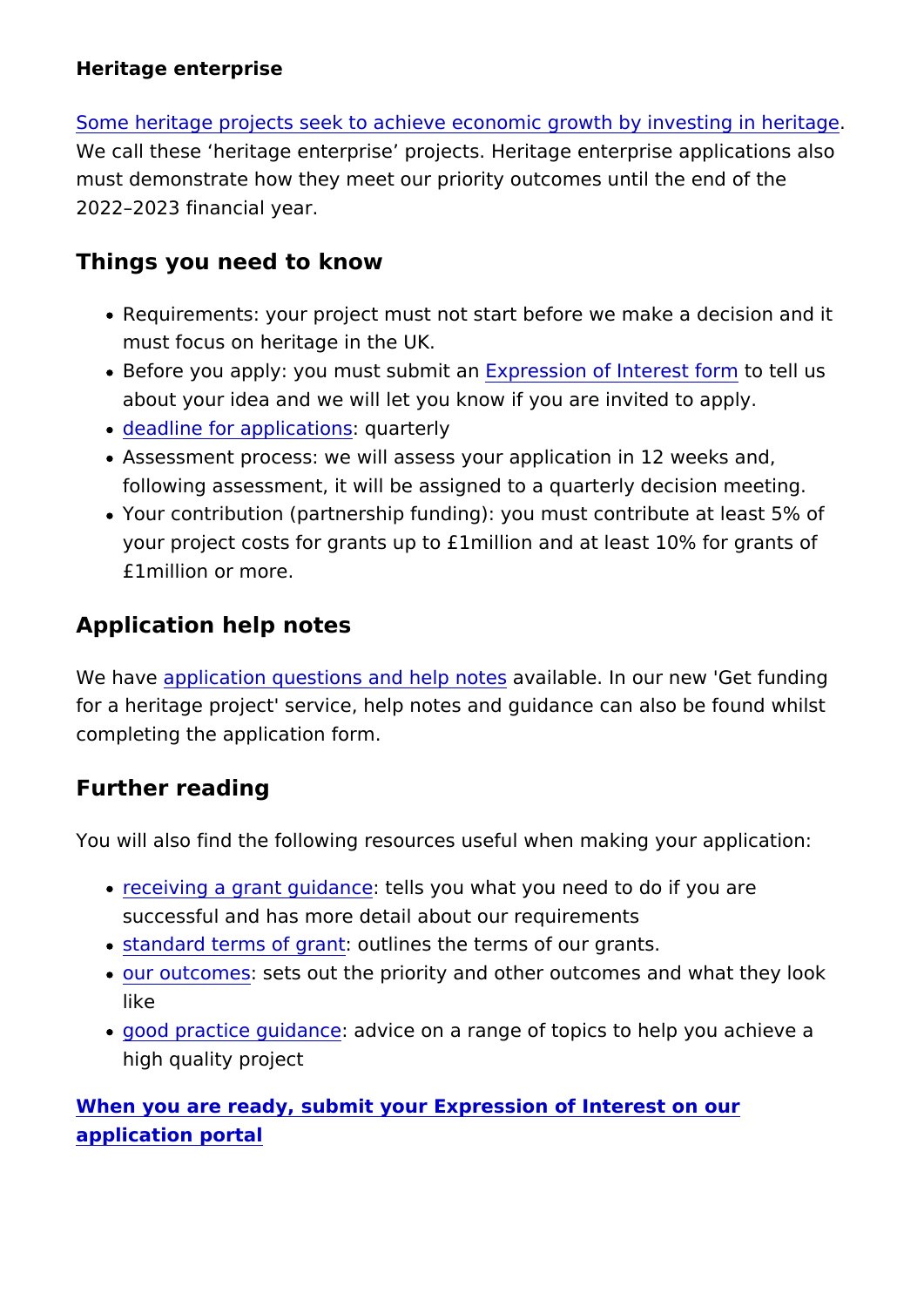Heritage enterprise

[Some heritage projects seek to achieve economic growth](https://www.heritagefund.org.uk/node/107906/) by inv We call these heritage enterprise projects. Heritage enterpris must demonstrate how they meet our priority outcomes until the 2022 2023 financial year.

Things you need to know

- Requirements: your project must not start before we make a must focus on heritage in the UK.
- Before you apply: you must Esxupbrme is an of Interets ot the old mus about your idea and we will let you know if you are invited to
- [deadline for appl](https://www.heritagefund.org.uk/funding/delivery-stage-application-deadlines-national-lottery-grants-heritage)ications erly
- Assessment process: we will assess your application in 12 w following assessment, it will be assigned to a quarterly deci
- Your contribution (partnership funding): you must contribute your project costs for grants up to £1million and at least 10 £1million or more.

Application help notes

We havae plication questions and haw apilables In our new 'Get fund for a heritage project' service, help notes and quidance can als completing the application form.

Further reading

You will also find the following resources useful when making y

- $\bullet$  [receiving a grant g](https://www.heritagefund.org.uk/funding/receiving-grant-guidance-ps250000-ps5million)uitdeal hsc  $\bullet$  ou what you need to do if you are successful and has more detail about our requirements
- . [standard terms o](https://www.heritagefund.org.uk/publications/standard-terms-delivery-grants-250k-5m)f guahines the terms of our grants.
- [our outco](https://www.heritagefund.org.uk/funding/outcomes)mests out the priority and other outcomes and what like
- . good practice quidaducice on a range of topics to help you ac high quality project

[When you are ready, submit your Expression of In](https://funding.heritagefund.org.uk/)terest on our [application po](https://funding.heritagefund.org.uk/)rtal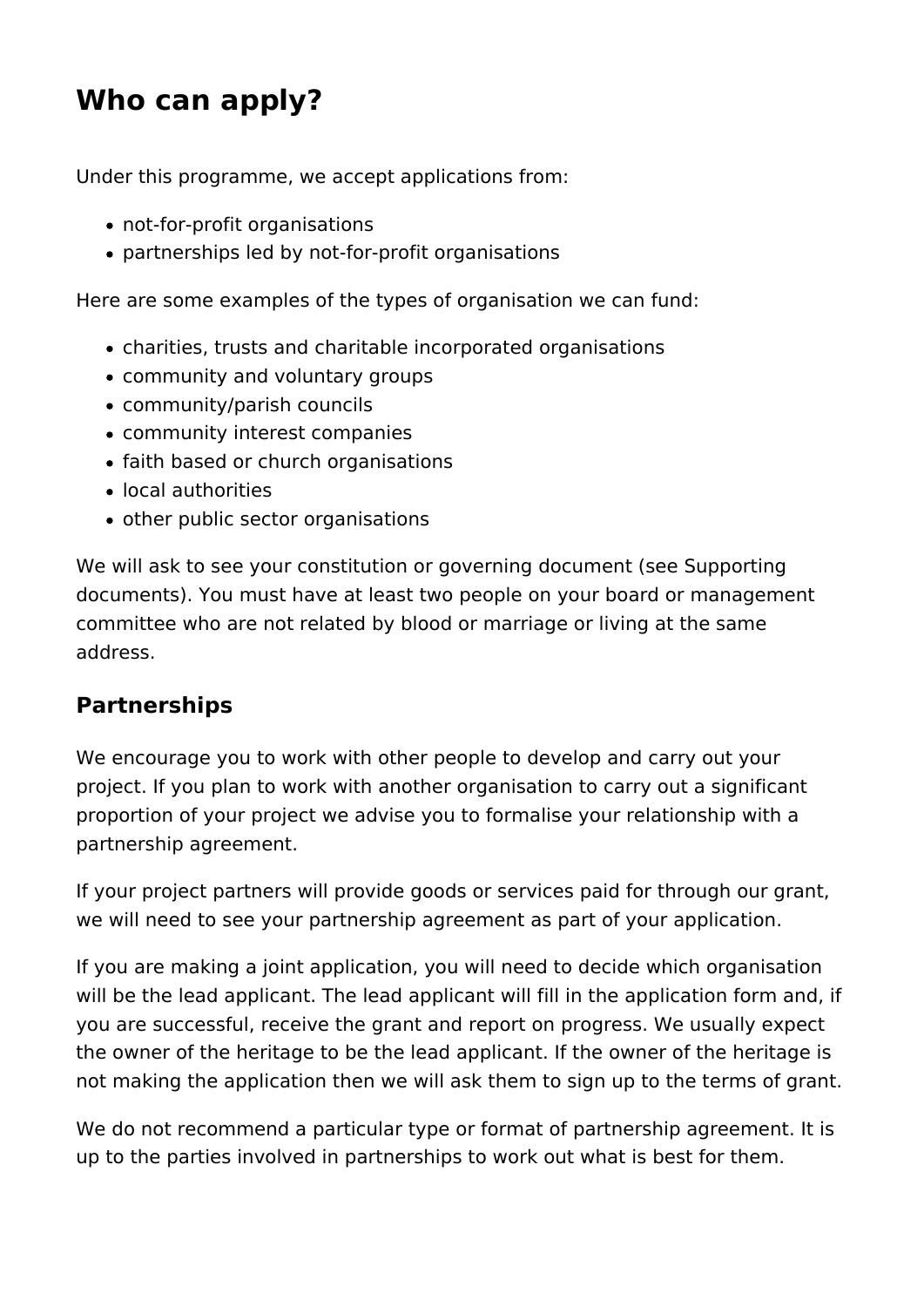# **Who can apply?**

Under this programme, we accept applications from:

- not-for-profit organisations
- partnerships led by not-for-profit organisations

Here are some examples of the types of organisation we can fund:

- charities, trusts and charitable incorporated organisations
- community and voluntary groups
- community/parish councils
- community interest companies
- faith based or church organisations
- local authorities
- other public sector organisations

We will ask to see your constitution or governing document (see Supporting documents). You must have at least two people on your board or management committee who are not related by blood or marriage or living at the same address.

### **Partnerships**

We encourage you to work with other people to develop and carry out your project. If you plan to work with another organisation to carry out a significant proportion of your project we advise you to formalise your relationship with a partnership agreement.

If your project partners will provide goods or services paid for through our grant, we will need to see your partnership agreement as part of your application.

If you are making a joint application, you will need to decide which organisation will be the lead applicant. The lead applicant will fill in the application form and, if you are successful, receive the grant and report on progress. We usually expect the owner of the heritage to be the lead applicant. If the owner of the heritage is not making the application then we will ask them to sign up to the terms of grant.

We do not recommend a particular type or format of partnership agreement. It is up to the parties involved in partnerships to work out what is best for them.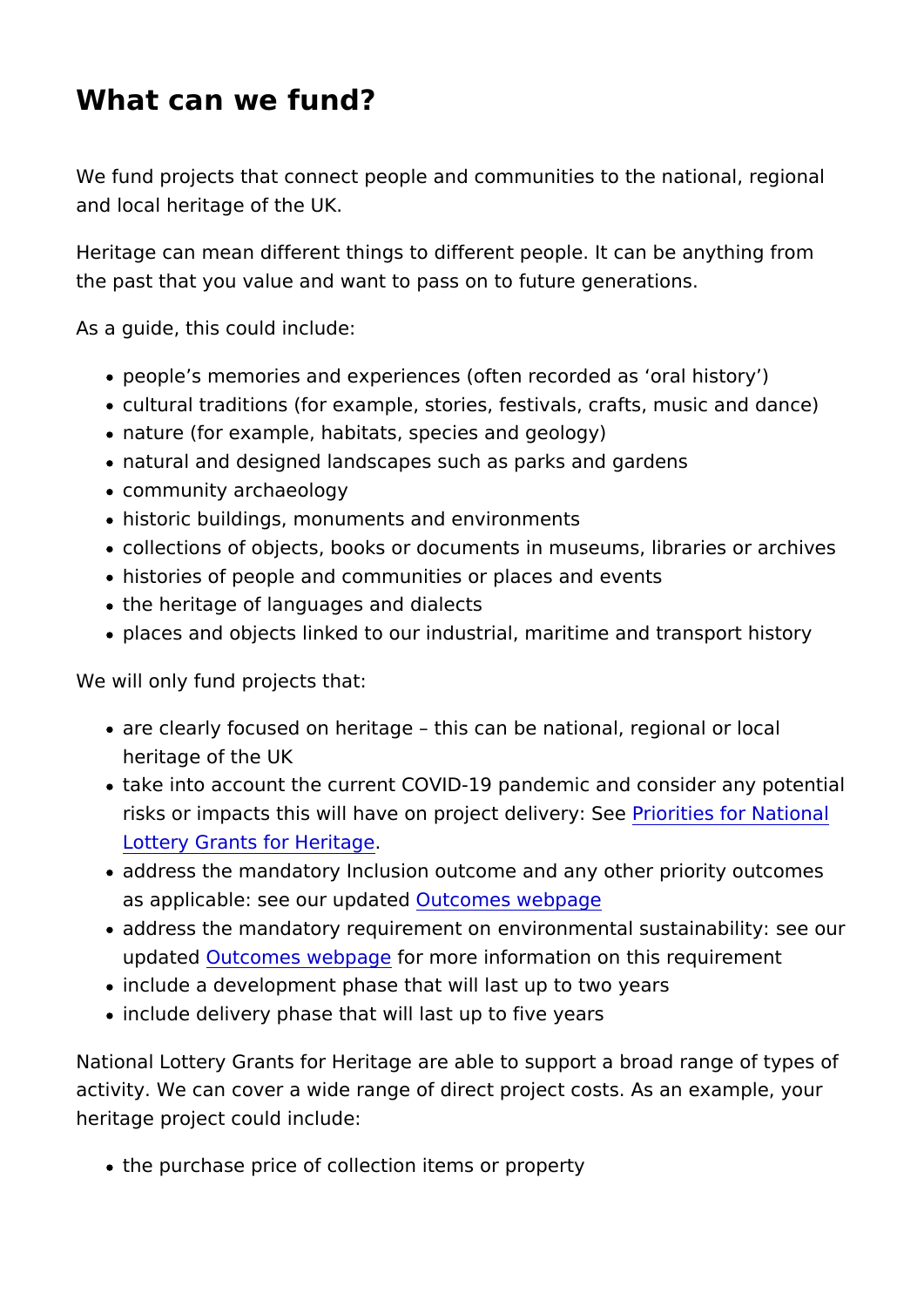### What can we fund?

We fund projects that connect people and communities to the na and local heritage of the UK.

Heritage can mean different things to different people. It can b the past that you value and want to pass on to future generatio

As a guide, this could include:

- people s memories and experiences (often recorded as oral
- cultural traditions (for example, stories, festivals, crafts, m
- nature (for example, habitats, species and geology)
- natural and designed landscapes such as parks and gardens
- community archaeology
- historic buildings, monuments and environments
- ocollections of objects, books or documents in museums, library
- histories of people and communities or places and events
- the heritage of languages and dialects
- places and objects linked to our industrial, maritime and tra

We will only fund projects that:

- are clearly focused on heritage this can be national, region heritage of the UK
- take into account the current COVID-19 pandemic and consid risks or impacts this will have on projePorticolreitiverfyor SNevetional [Lottery Grants for](https://www.heritagefund.org.uk/funding/priorities-national-lottery-grants-heritage) Heritage
- address the mandatory Inclusion outcome and any other prio as applicable: see our Ount dated s webpage
- $\bullet$  address the mandatory requi $e$ emieronmental sustains $a$ beiloty: updated utcomes webplagemore information on this requirement
- include a development phase that will last up to two years
- include delivery phase that will last up to five years

National Lottery Grants for Heritage are able to support a broad activity. We can cover a wide range of direct project costs. As heritage project could include:

• the purchase price of collection items or property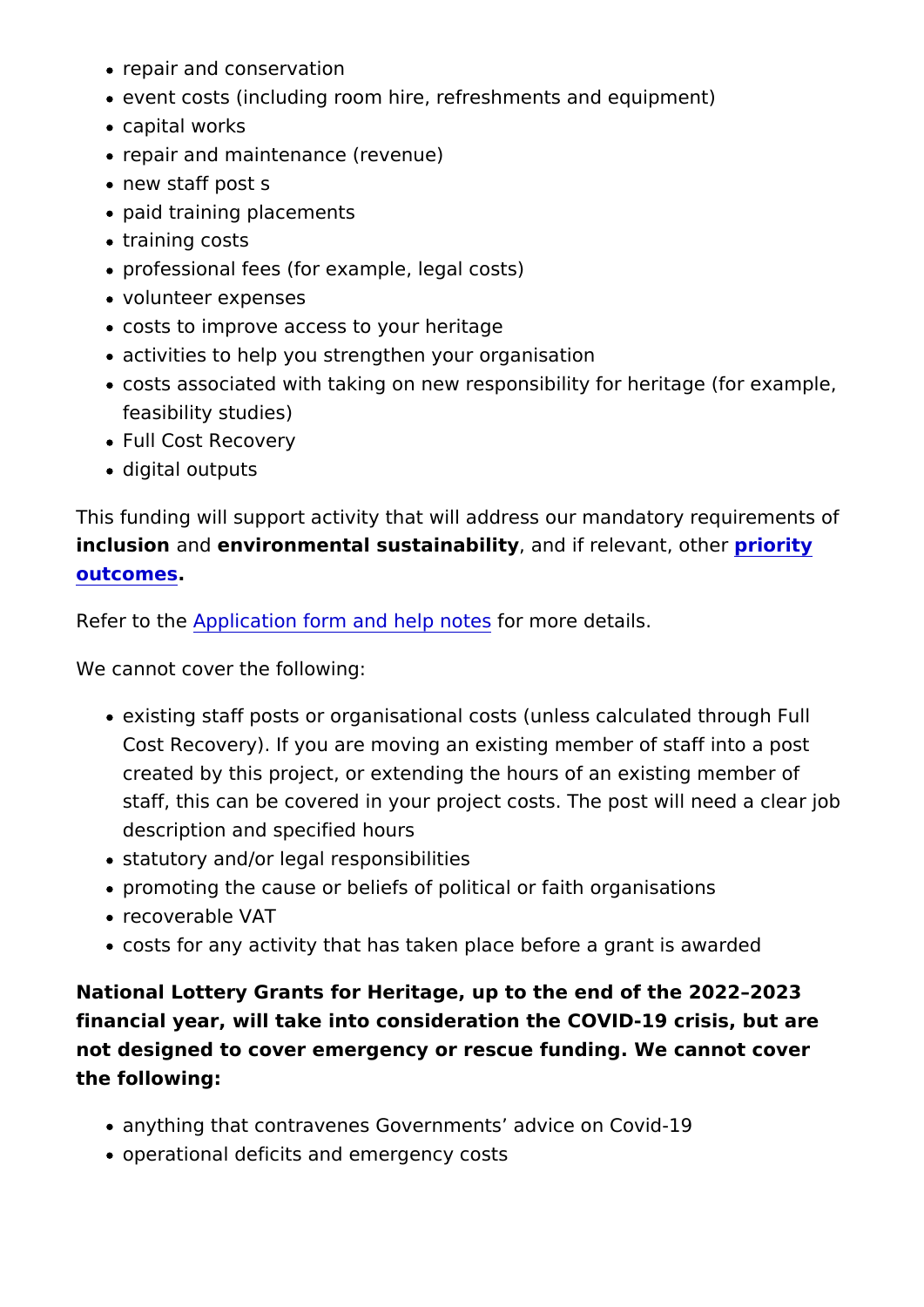- repair and conservation
- event costs (including room hire, refreshments and equipme
- capital works
- repair and maintenance (revenue)
- new staff post s
- paid training placements
- training costs
- professional fees (for example, legal costs)
- volunteer expenses
- costs to improve access to your heritage
- activities to help you strengthen your organisation
- costs associated with taking on new responsibility for herita feasibility studies)
- Full Cost Recovery
- digital outputs

This funding will support activity that will address our mandato inclusio and environmental sustaina, bid intdy if relevant proi bhrietry [outcome](https://www.heritagefund.org.uk/funding/outcomes)s.

Refer to Application form and help notes details.

We cannot cover the following:

- existing staff posts or organisational costs (unless calculat Cost Recovery). If you are moving an existing member of sta created by this project, or extending the hours of an existin staff, this can be covered in your project costs. The post wi description and specified hours
- statutory and/or legal responsibilities
- promoting the cause or beliefs of political or faith organisat
- recoverable VAT
- $\bullet$  costs for any activity that has taken place before a grant is

National Lottery Grants for Heritage, up to the end of the 2022 financial year, will take into consideration the COVID-19 crisis, not designed to cover emergency or rescue funding. We cannot the following:

- anything that contravenes Governments advice on Covid-19
- operational deficits and emergency costs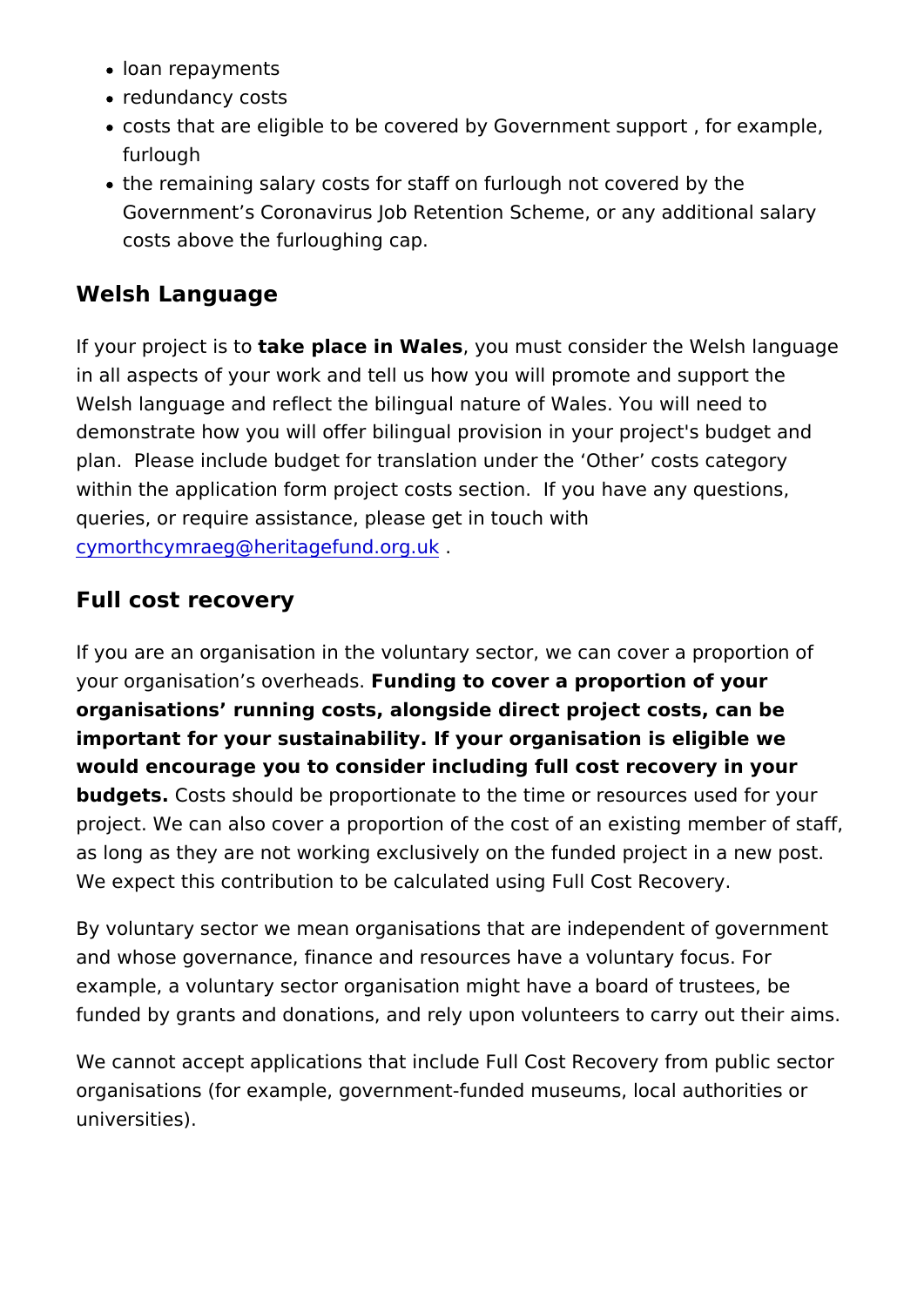- loan repayments
- redundancy costs
- costs that are eligible to be covered by Government support furlough
- the remaining salary costs for staff on furlough not covered Government s Coronavirus Job Retention Scheme, or any ad costs above the furloughing cap.

#### Welsh Language

If your projectais et place in Wales u must consider the Welsh lang in all aspects of your work and tell us how you will promote and Welsh language and reflect the bilingual nature of Wales. You w demonstrate how you will offer bilingual provision in your proje plan. Please include budget for translation under the Other c within the application form project costs section. If you have a queries, or require assistance, please get in touch with [cymorthcymraeg@heritagefu](mailto:cymorthcymraeg@heritagefund.org.uk)nd.org.uk .

#### Full cost recovery

If you are an organisation in the voluntary sector, we can cover your organisation s oveumedads to cover a proportion of your organisations running costs, alongside direct project costs, ca important for your sustainability. If your organisation is eligible would encourage you to consider including full cost recovery in budgets Costs should be proportionate to the time or resources project. We can also cover a proportion of the cost of an existi as long as they are not working exclusively on the funded proje We expect this contribution to be calculated using Full Cost Re

By voluntary sector we mean organisations that are independen and whose governance, finance and resources have a voluntary example, a voluntary sector organisation might have a board of funded by grants and donations, and rely upon volunteers to ca

We cannot accept applications that include Full Cost Recovery organisations (for example, government-funded museums, local universities).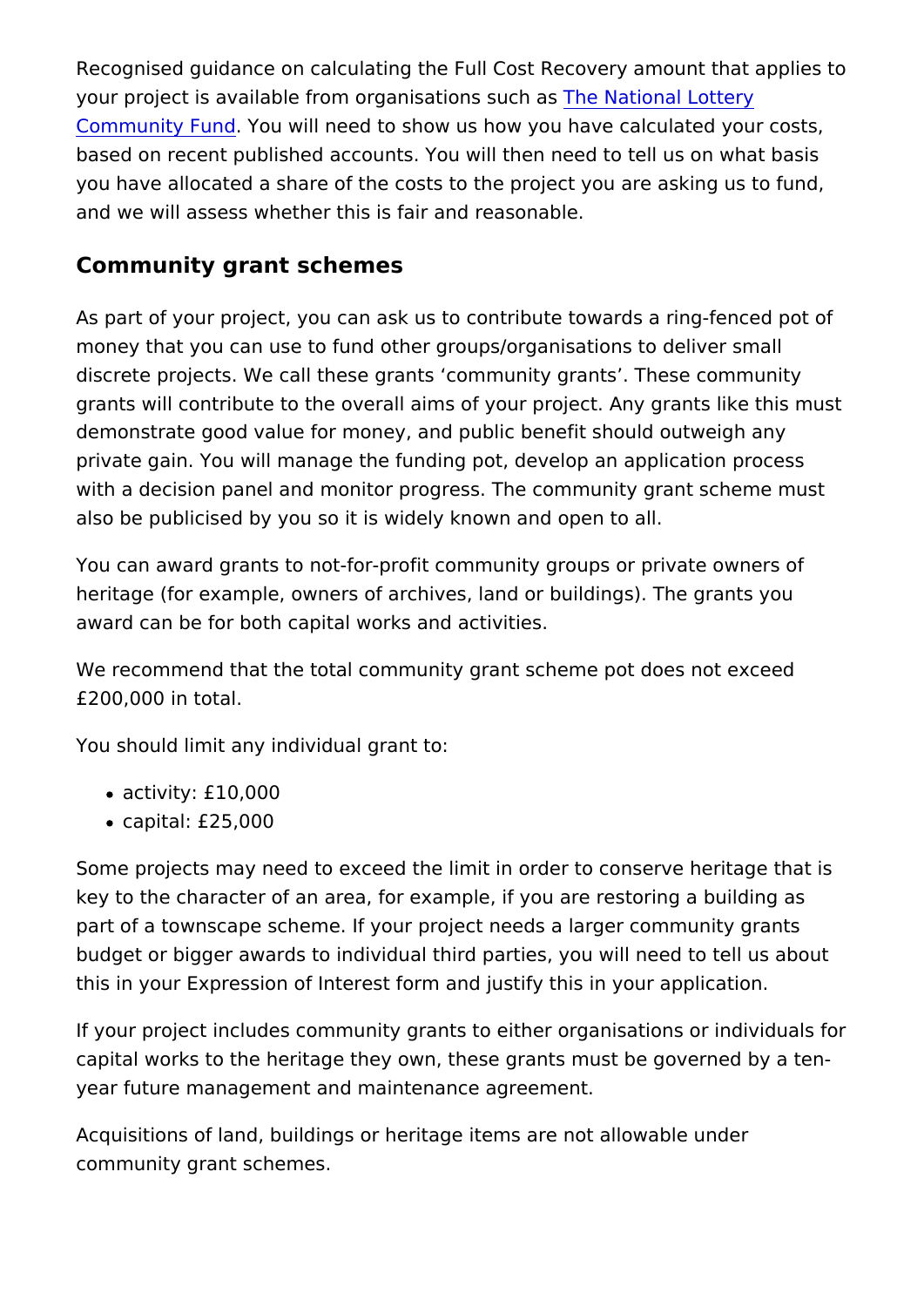Recognised guidance on calculating the Full Cost Recovery amo your project is available from organishe id has tis un and hattery [Community F](https://www.tnlcommunityfund.org.uk/funding/funding-guidance/full-cost-recovery)undu will need to show us how you have calculated based on recent published accounts. You will then need to tell you have allocated a share of the costs to the project you are a and we will assess whether this is fair and reasonable.

Community grant schemes

As part of your project, you can ask us to contribute towards a money that you can use to fund other groups/organisations to d discrete projects. We call these grants community grants. The grants will contribute to the overall aims of your project. Any g demonstrate good value for money, and public benefit should out private gain. You will manage the funding pot, develop an appli with a decision panel and monitor progress. The community grant also be publicised by you so it is widely known and open to all.

You can award grants to not-for-profit community groups or priv heritage (for example, owners of archives, land or buildings). T award can be for both capital works and activities.

We recommend that the total community grant scheme pot does £200,000 in total.

You should limit any individual grant to:

- activity: £10,000
- capital: £25,000

Some projects may need to exceed the limit in order to conserv key to the character of an area, for example, if you are restoring part of a townscape scheme. If your project needs a larger com budget or bigger awards to individual third parties, you will nee this in your Expression of Interest form and justify this in your

If your project includes community grants to either organisation capital works to the heritage they own, these grants must be go year future management and maintenance agreement.

Acquisitions of land, buildings or heritage items are not allowa community grant schemes.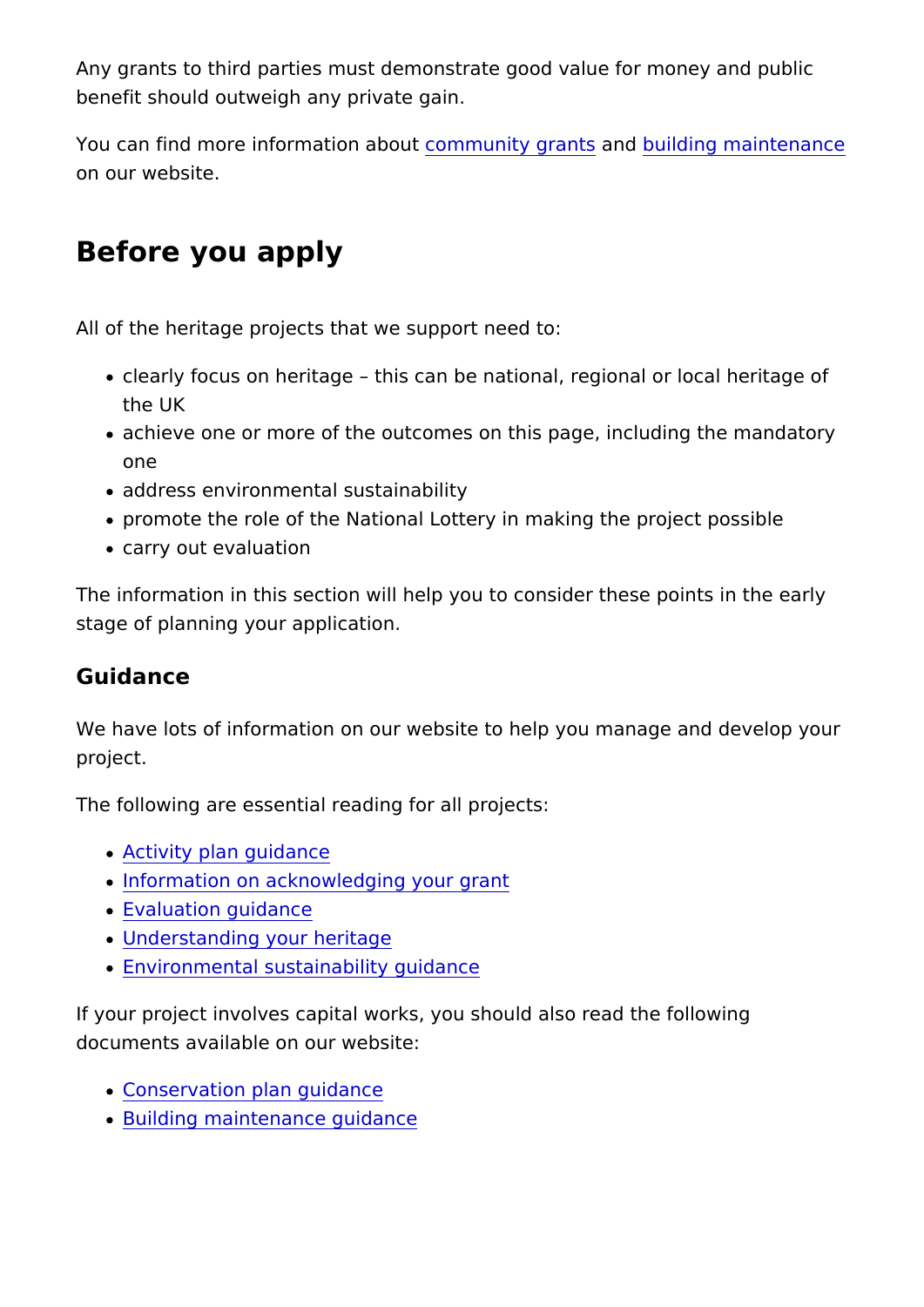Any grants to third parties must demonstrate good value for mo benefit should outweigh any private gain.

You can find more information matority graamts uilding maintenance on our website.

# Before you apply

All of the heritage projects that we support need to:

- clearly focus on heritage this can be national, regional or the UK
- achieve one or more of the outcomes on this page, including one
- address environmental sustainability
- promote the role of the National Lottery in making the proje
- carry out evaluation

The information in this section will help you to consider these p stage of planning your application.

#### Guidance

We have lots of information on our website to help you manage project.

The following are essential reading for all projects:

- [Activity plan gu](https://www.heritagefund.org.uk/good-practice-guidance/activity-plan-guidance)idance
- . [Information on acknowledging](https://www.heritagefund.org.uk/funding/how-acknowledge-your-grant) your grant
- [Evaluation gui](https://www.heritagefund.org.uk/good-practice-guidance/evaluation-guidance)dance
- [Understanding your](https://www.heritagefund.org.uk/good-practice-guidance/understanding-your-heritage-guidance) heritage
- [Environmental sustainabilit](https://www.heritagefund.org.uk/good-practice-guidance/environmental-sustainability-guidance)y guidance

If your project involves capital works, you should also read the documents available on our website:

- [Conservation plan g](https://www.heritagefund.org.uk/good-practice-guidance/conservation-planning-guidance)uidance
- [Building maintenance](https://www.heritagefund.org.uk/good-practice-guidance/building-maintenance-guidance) guidance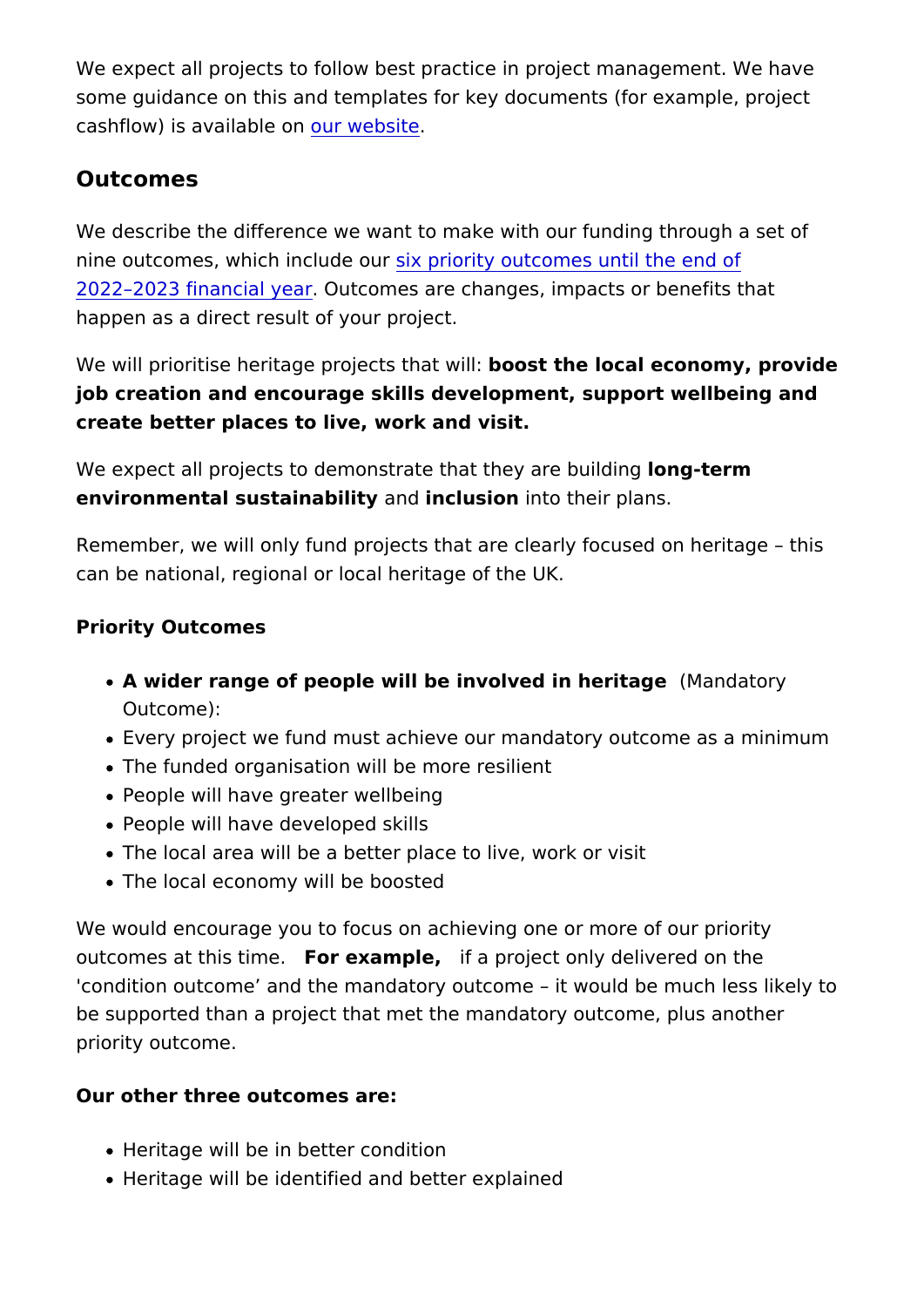We expect all projects to follow best practice in project manage some guidance on this and templates for key documents (for example,  $\frac{1}{2}$ cashflow) is available worbsite

Outcomes

We describe the difference we want to make with our funding th nine outcomes, which insluderiourity outcomes until the end of [2022 2023 financi](https://www.heritagefund.org.uk/funding/outcomes)al Outcomes are changes, impacts or benefits to happen as a direct result of your project.

We will prioritise heritage projectos that ewilded al economy, provided job creation and encourage skills development, support wellbein create better places to live, work and visit.

We expect all projects to demonstrate that it the regrem building environmental sustainability clusion nto their plans.

Remember, we will only fund projects that are clearly focused on can be national, regional or local heritage of the UK.

Priority Outcomes

- $\bullet$  A wider range of people will be involved in Mandatory Outcome):
- Every project we fund must achieve our mandatory outcome
- The funded organisation will be more resilient
- People will have greater wellbeing
- People will have developed skills
- The local area will be a better place to live, work or visit
- The local economy will be boosted

We would encourage you to focus on achieving one or more of o outcomes at this ffione example if a project only delivered on the 'condition outcome and the mandatory outcome it would be mu be supported than a project that met the mandatory outcome, pl priority outcome.

Our other three outcomes are:

- Heritage will be in better condition
- Heritage will be identified and better explained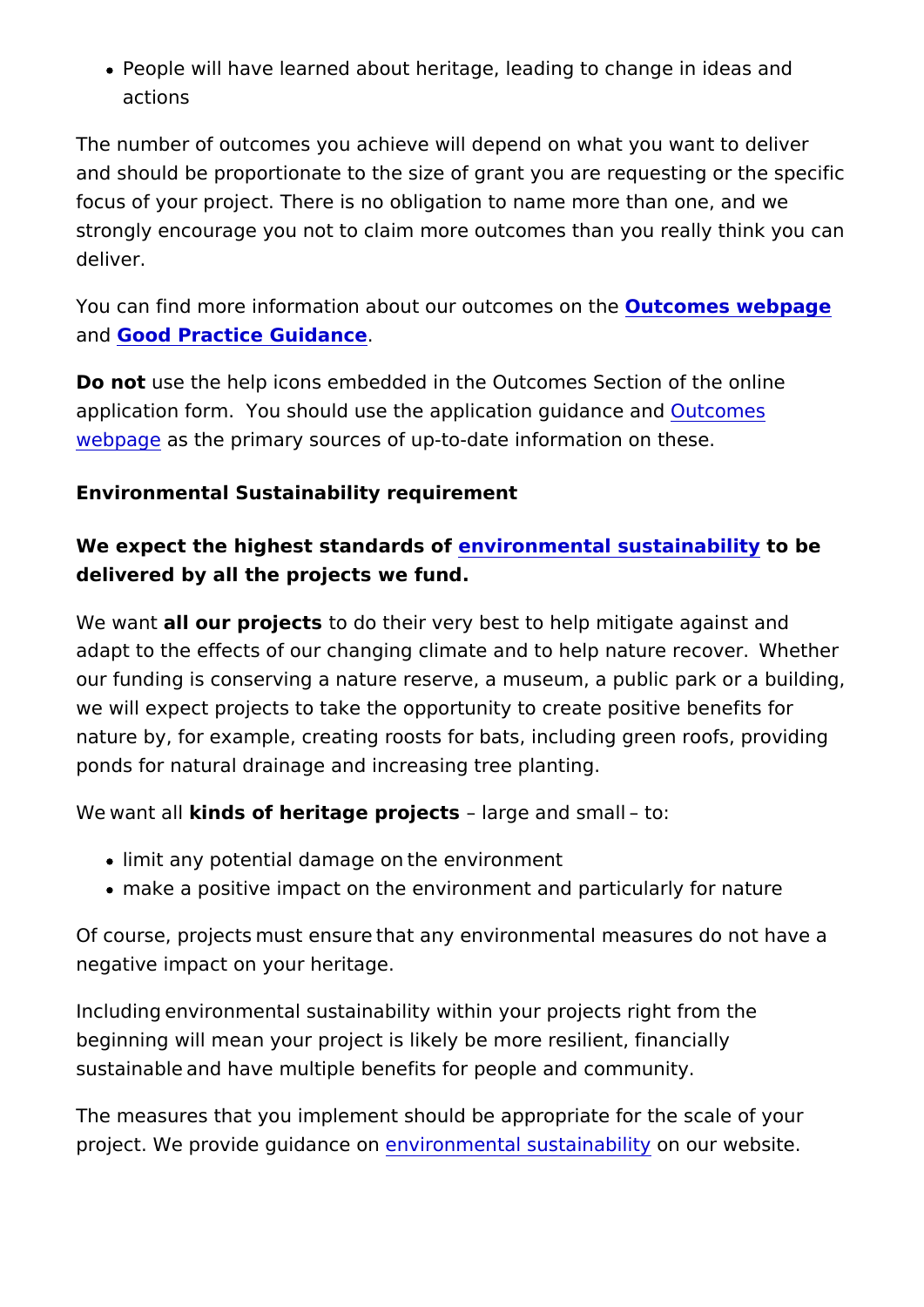• People will have learned about heritage, leading to change actions

The number of outcomes you achieve will depend on what you w and should be proportionate to the size of grant you are reques focus of your project. There is no obligation to name more than strongly encourage you not to claim more outcomes than you re deliver.

You can find more information about our **Quitcommess owne thpeage** an[d Good Practice Guid](https://www.heritagefund.org.uk/funding/good-practice-guidance)ance

Do notuse the help icons embedded in the Outcomes Section of application form. You should use the applical  $\omega$  and  $\alpha$   $\omega$  and  $\alpha$ [webpa](https://www.heritagefund.org.uk/funding/outcomes)gas the primary sources of up-to-date information on thes

Environmental Sustainability requirement

We expect the highest standarmolation mental sustainability by delivered by all the projects we fund. /

We wanathl our projet ts their very best to help mitigate agains adapt to the effects of our changing climate and to help nature our funding is conserving a nature reserve, a museum, a public we will expect projects to take the opportunity to create positiv nature by, for example, creating roosts for bats, including gree ponds for natural drainage and increasing tree planting.

 $W e/w$  ant kainds of heritage projeleating e and small/ to:

- limit any potential damage on /the environment
- make a positive impact on the environment and particularly

Of course, projects/must ensure/that any environmental measur negative impact on your heritage.

Including/environmental sustainability within your projects right beginning will mean your project is likely be more resilient, fin sustainable/and have multiple benefits for people and communit

The measures that you implement should be appropriate for the project. We provide guidance romental sustain aboluty website.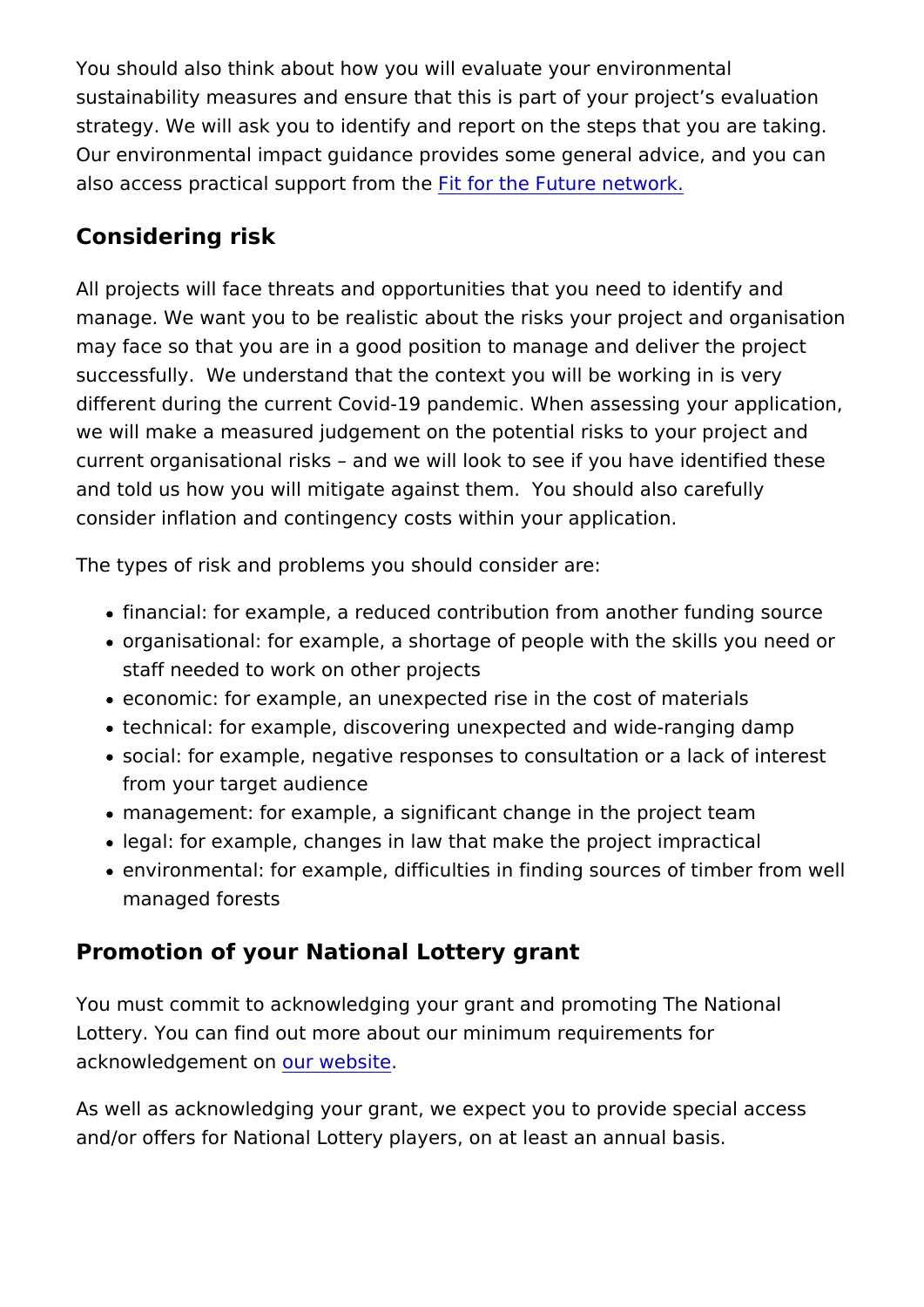You should also think about how you will evaluate your environ sustainability measures and ensure that this is part of your pro strategy. We will ask you to identify and report on the steps that Our environmental impact guidance provides some general advid also access practical supportit from the efuture network.

#### Considering risk

All projects will face threats and opportunities that you need to manage. We want you to be realistic about the risks your projed may face so that you are in a good position to manage and delip successfully. We understand that the context you will be worki different during the current Covid-19 pandemic. When assessing we will make a measured judgement on the potential risks to yo current organisational risks and we will look to see if you have and told us how you will mitigate against them. You should als consider inflation and contingency costs within your application.

The types of risk and problems you should consider are:

- financial: for example, a reduced contribution from another
- organisational: for example, a shortage of people with the s staff needed to work on other projects
- economic: for example, an unexpected rise in the cost of ma
- technical: for example, discovering unexpected and wide-ran
- social: for example, negative responses to consultation or a from your target audience
- $\bullet$  management: for example, a significant change in the projed
- legal: for example, changes in law that make the project imp
- environmental: for example, difficulties in finding sources o managed forests

#### Promotion of your National Lottery grant

You must commit to acknowledging your grant and promoting Th Lottery. You can find out more about our minimum requirements acknowledgementuon website

As well as acknowledging your grant, we expect you to provide and/or offers for National Lottery players, on at least an annua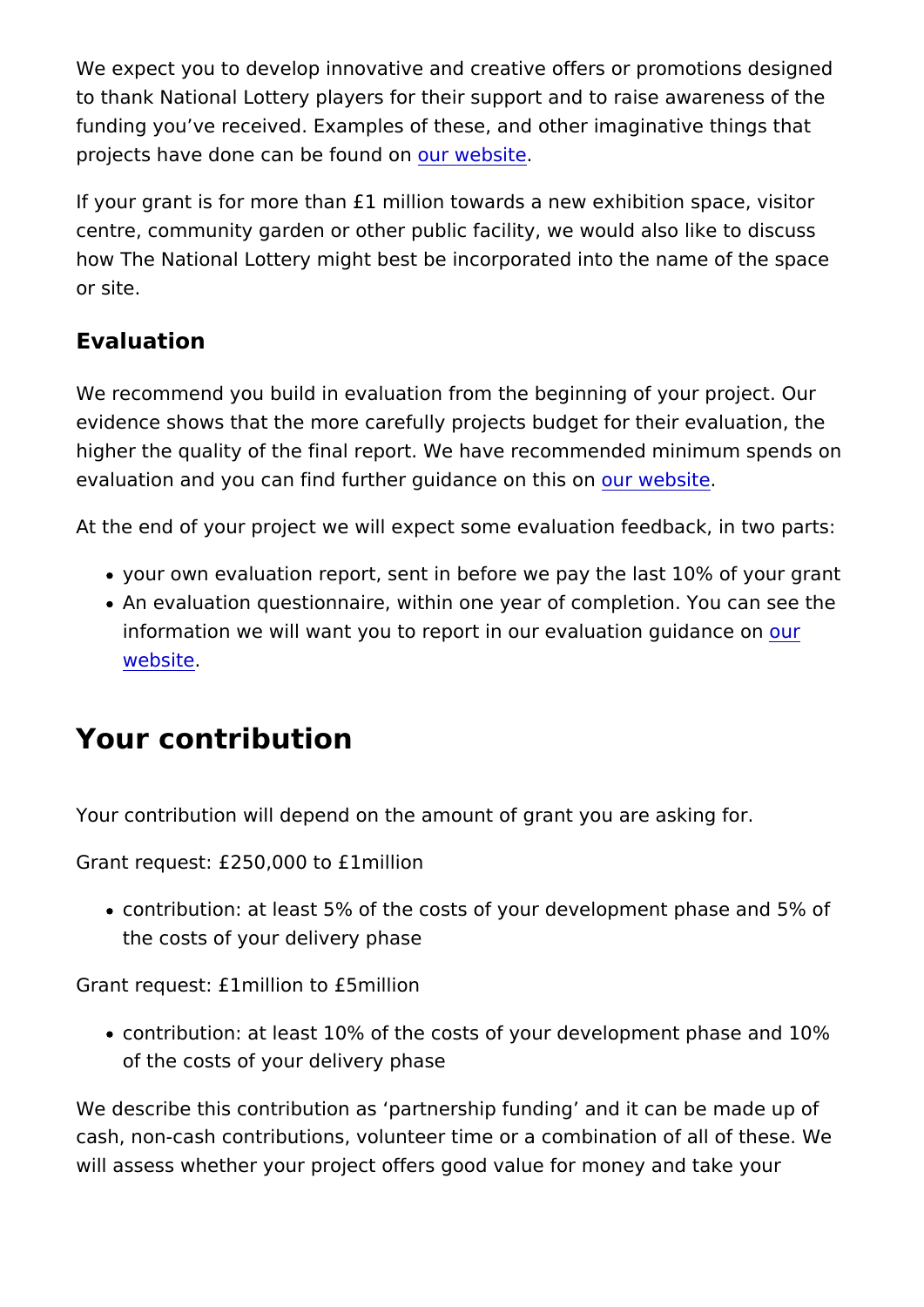We expect you to develop innovative and creative offers or pror to thank National Lottery players for their support and to raise funding you ve received. Examples of these, and other imaginat projects have done can beo to und both

If your grant is for more than £1 million towards a new exhibition centre, community garden or other public facility, we would also how The National Lottery might best be incorporated into the na or site.

#### Evaluation

We recommend you build in evaluation from the beginning of yo evidence shows that the more carefully projects budget for thei higher the quality of the final report. We have recommended mi evaluation and you can find further guidoance edonsittheis on

At the end of your project we will expect some evaluation feedb

- your own evaluation report, sent in before we pay the last 1
- An evaluation questionnaire, within one year of completion. information we will want y[ou](https://www.heritagefund.org.uk/good-practice-guidance/evaluation-guidance) to report in our evabuation guid [websi](https://www.heritagefund.org.uk/good-practice-guidance/evaluation-guidance)te

### Your contribution

Your contribution will depend on the amount of grant you are as

Grant request: 0,000 to £1 million

ocontribution: at least 5% of the costs of your development phase and 5% of the costs of your development p the costs of your delivery phase

Grant request: £1million to £5million

• contribution: at least 10% of the costs of your development of the costs of your delivery phase

We describe this contribution as partnership funding and it ca cash, non-cash contributions, volunteer time or a combination c will assess whether your project offers good value for money ar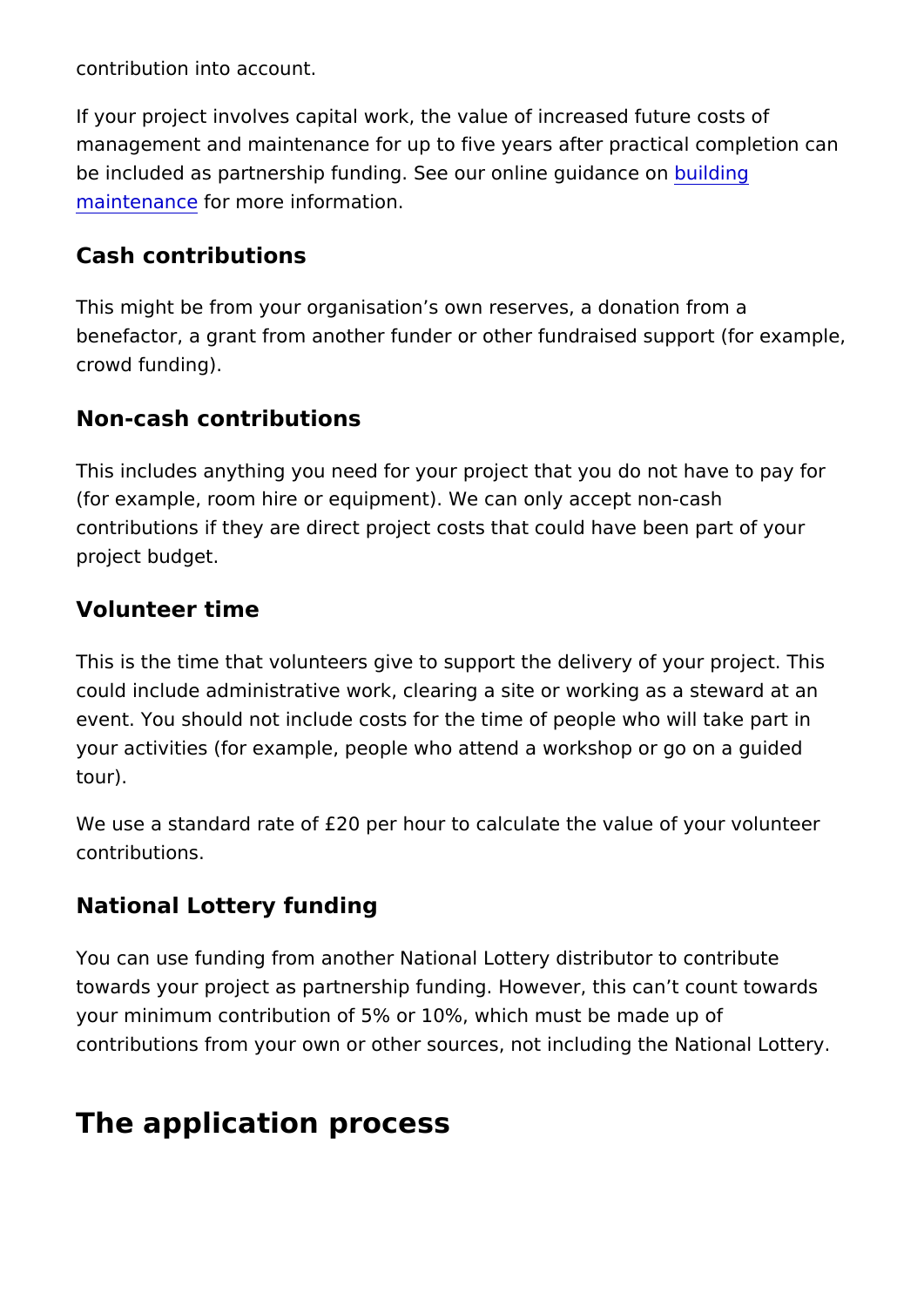contribution into account.

If your project involves capital work, the value of increased fut management and maintenance for up to five years after practica be included as partnership funding. See our donuliilndenguidance on [maintena](https://www.heritagefund.org.uk/good-practice-guidance/building-maintenance-guidance)ncer more information.

#### Cash contributions

This might be from your organisation s own reserves, a donation benefactor, a grant from another funder or other fundraised sup crowd funding).

#### Non-cash contributions

This includes anything you need for your project that you do no (for example, room hire or equipment). We can only accept noncontributions if they are direct project costs that could have be project budget.

#### Volunteer time

This is the time that volunteers give to support the delivery of could include administrative work, clearing a site or working as event. You should not include costs for the time of people who your activities (for example, people who attend a workshop or g tour).

We use a standard rate of  $£20$  per hour to calculate the value of contributions.

National Lottery funding

You can use funding from another National Lottery distributor to towards your project as partnership funding. However, this can your minimum contribution of 5% or 10%, which must be made u contributions from your own or other sources, not including the

### The application process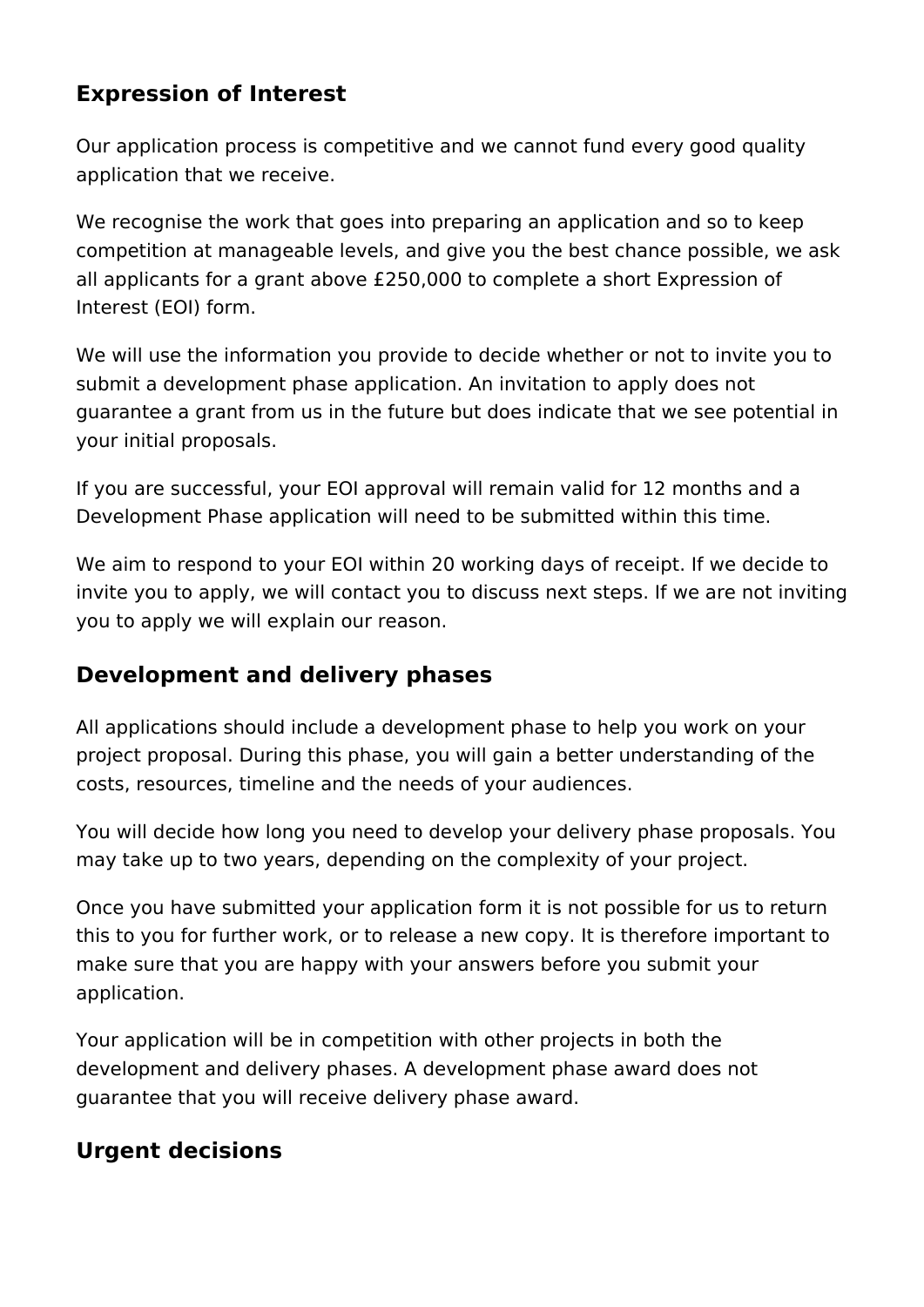### **Expression of Interest**

Our application process is competitive and we cannot fund every good quality application that we receive.

We recognise the work that goes into preparing an application and so to keep competition at manageable levels, and give you the best chance possible, we ask all applicants for a grant above £250,000 to complete a short Expression of Interest (EOI) form.

We will use the information you provide to decide whether or not to invite you to submit a development phase application. An invitation to apply does not guarantee a grant from us in the future but does indicate that we see potential in your initial proposals.

If you are successful, your EOI approval will remain valid for 12 months and a Development Phase application will need to be submitted within this time.

We aim to respond to your EOI within 20 working days of receipt. If we decide to invite you to apply, we will contact you to discuss next steps. If we are not inviting you to apply we will explain our reason.

### **Development and delivery phases**

All applications should include a development phase to help you work on your project proposal. During this phase, you will gain a better understanding of the costs, resources, timeline and the needs of your audiences.

You will decide how long you need to develop your delivery phase proposals. You may take up to two years, depending on the complexity of your project.

Once you have submitted your application form it is not possible for us to return this to you for further work, or to release a new copy. It is therefore important to make sure that you are happy with your answers before you submit your application.

Your application will be in competition with other projects in both the development and delivery phases. A development phase award does not guarantee that you will receive delivery phase award.

### **Urgent decisions**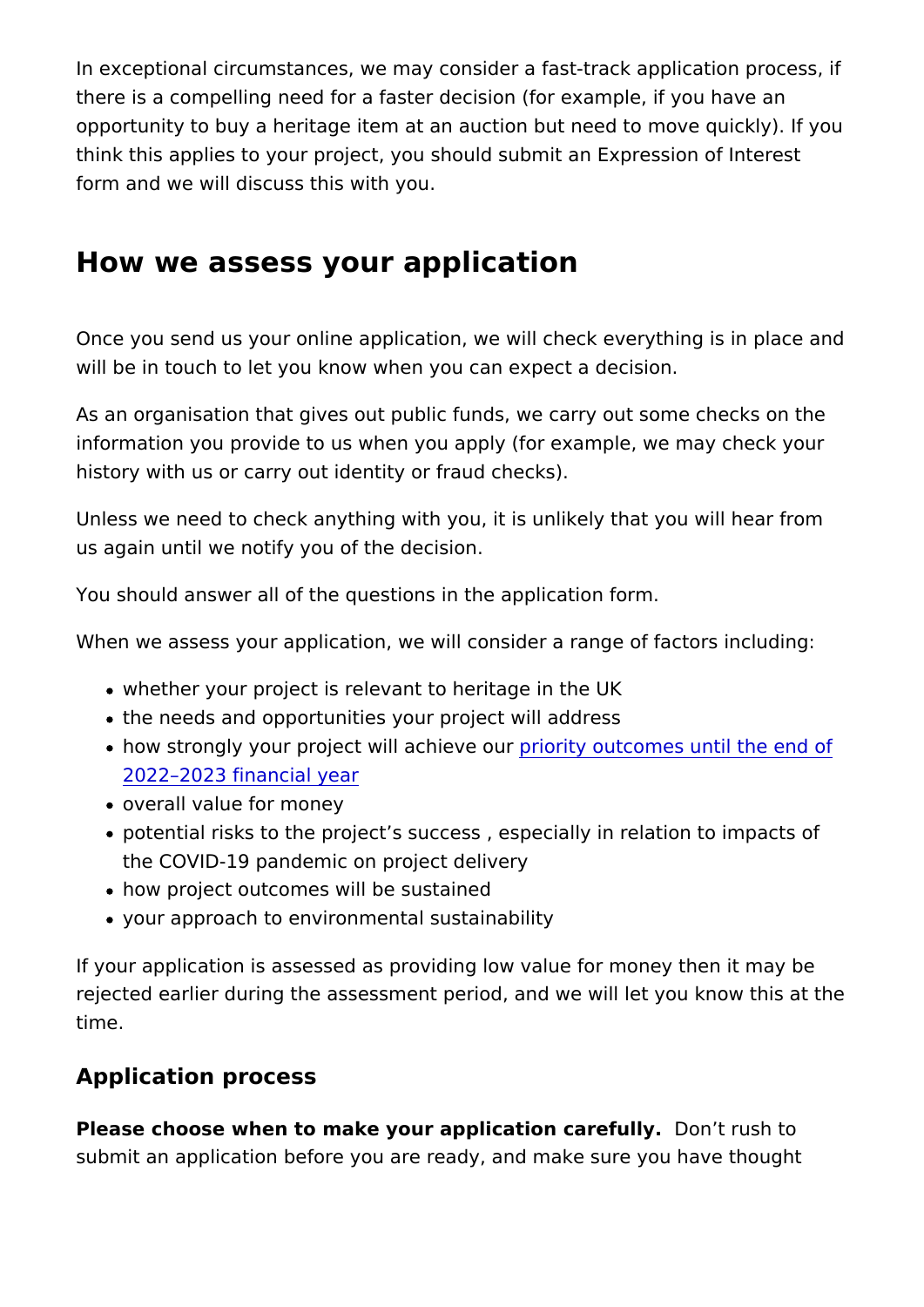In exceptional circumstances, we may consider a fast-track app there is a compelling need for a faster decision (for example, if opportunity to buy a heritage item at an auction but need to mo think this applies to your project, you should submit an Express form and we will discuss this with you.

#### How we assess your application

Once you send us your online application, we will check everyth will be in touch to let you know when you can expect a decision.

As an organisation that gives out public funds, we carry out som information you provide to us when you apply (for example, we history with us or carry out identity or fraud checks).

Unless we need to check anything with you, it is unlikely that y us again until we notify you of the decision.

You should answer all of the questions in the application form.

When we assess your application, we will consider a range of factors

- whether your project is relevant to heritage in the UK
- the needs and opportunities your project will address
- how strongly your project will paroibiety e oaut comes until the end [2022 2023 financi](https://www.heritagefund.org.uk/funding/outcomes)al year
- overall value for money
- potential risks to the project s success, especially in relation the COVID-19 pandemic on project delivery
- how project outcomes will be sustained
- your approach to environmental sustainability

If your application is assessed as providing low value for mone rejected earlier during the assessment period, and we will let y time.

#### Application process

Please choose when to make your application Dcoaretfully by to submit an application before you are ready, and make sure you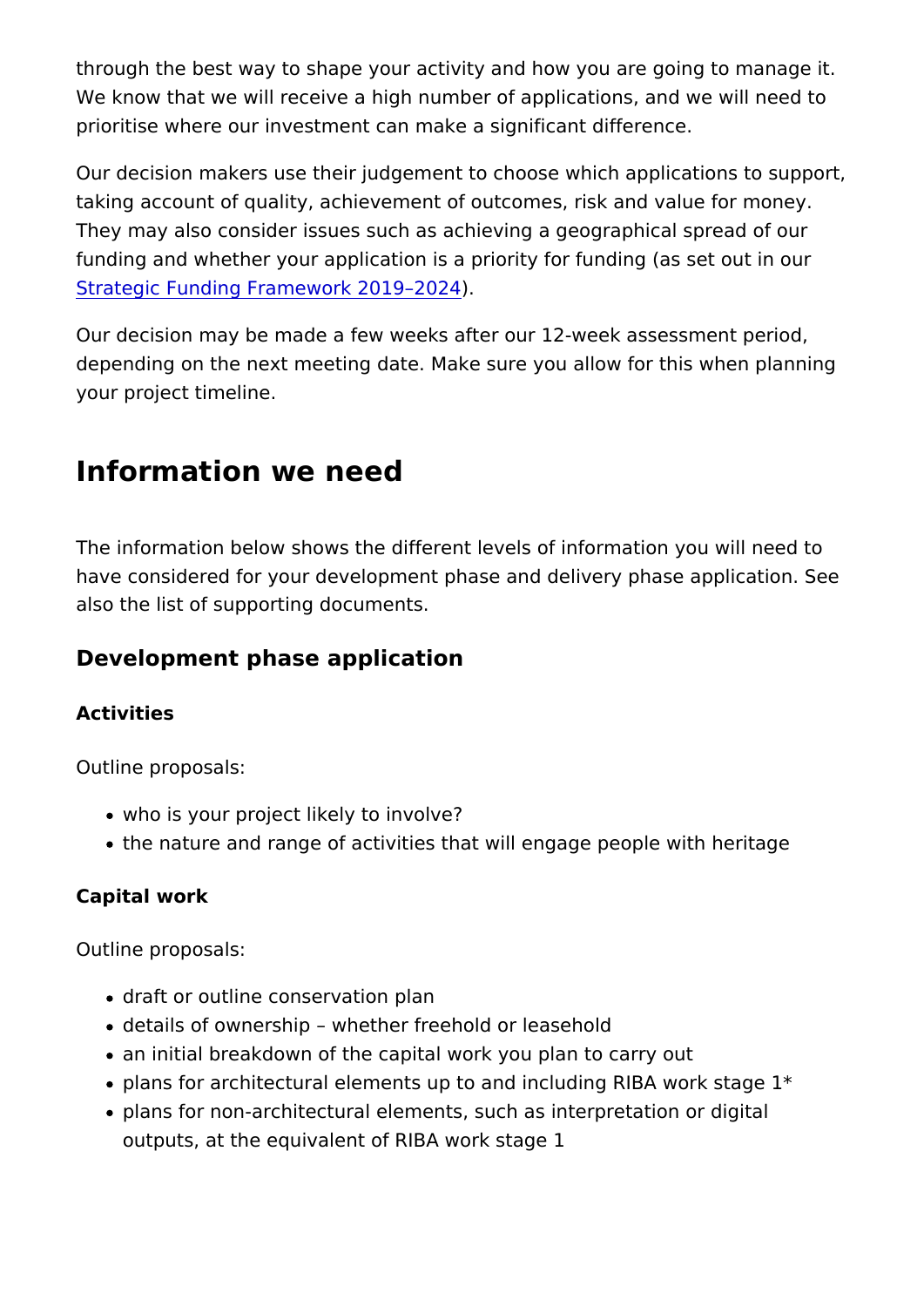through the best way to shape your activity and how you are go We know that we will receive a high number of applications, and prioritise where our investment can make a significant differenc

Our decision makers use their judgement to choose which applic taking account of quality, achievement of outcomes, risk and va They may also consider issues such as achieving a geographica funding and whether your application is a priority for funding (as [Strategic Funding Framework](https://www.heritagefund.org.uk/about/strategic-funding-framework-2019-2024) ) 2019 2024

Our decision may be made a few weeks after our 12-week asses depending on the next meeting date. Make sure you allow for the your project timeline.

### Information we need

The information below shows the different levels of information have considered for your development phase and delivery phase also the list of supporting documents.

Development phase application

Activities

Outline proposals:

- who is your project likely to involve?
- the nature and range of activities that will engage people w

Capital work

Outline proposals:

- draft or outline conservation plan
- details of ownership whether freehold or leasehold
- an initial breakdown of the capital work you plan to carry ou
- $\bullet$  plans for architectural elements up to and including RIBA we
- plans for non-architectural elements, such as interpretation outputs, at the equivalent of RIBA work stage 1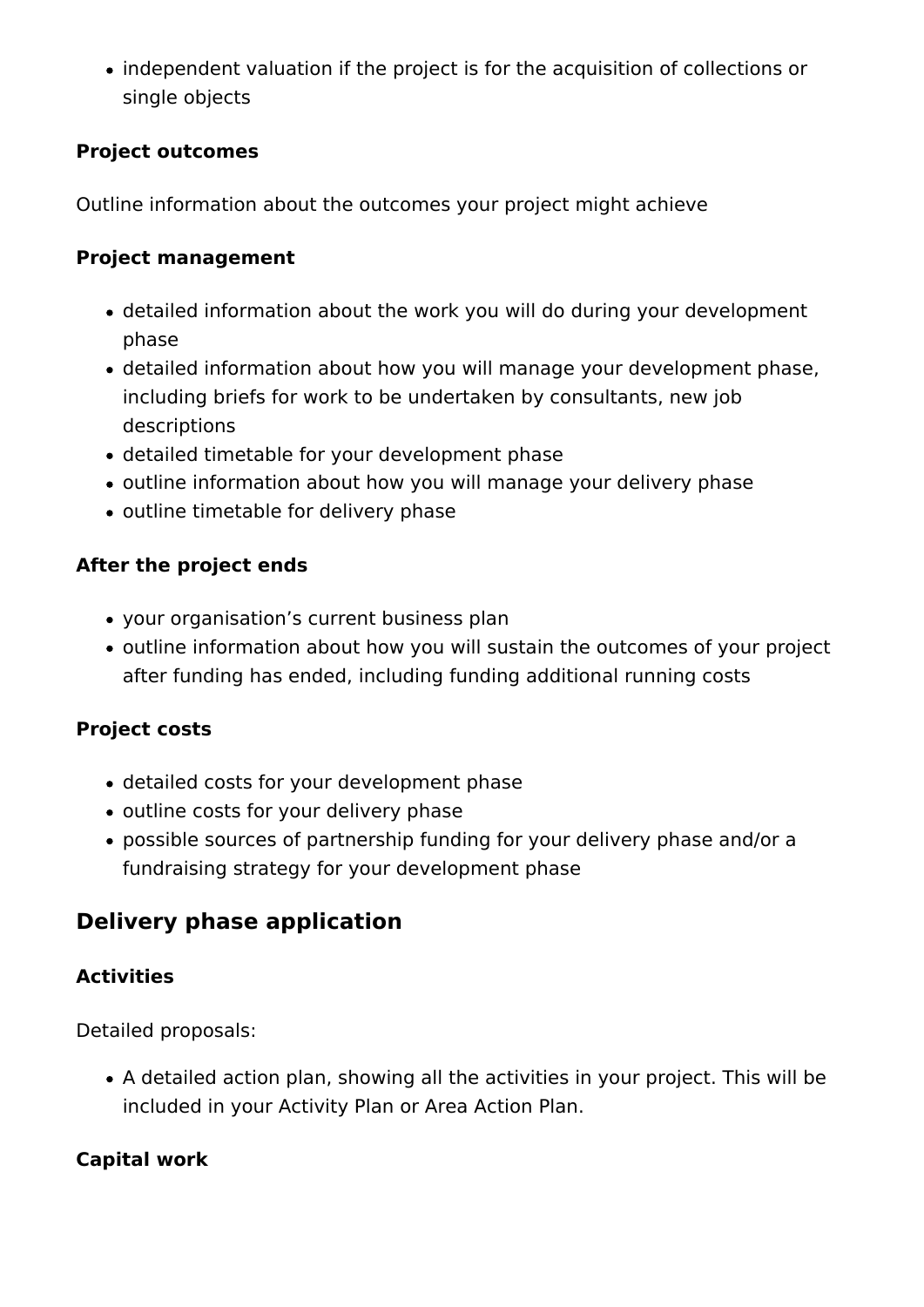• independent valuation if the project is for the acquisition of collections or single objects

#### **Project outcomes**

Outline information about the outcomes your project might achieve

#### **Project management**

- detailed information about the work you will do during your development phase
- detailed information about how you will manage your development phase, including briefs for work to be undertaken by consultants, new job descriptions
- detailed timetable for your development phase
- outline information about how you will manage your delivery phase
- outline timetable for delivery phase

#### **After the project ends**

- your organisation's current business plan
- outline information about how you will sustain the outcomes of your project after funding has ended, including funding additional running costs

#### **Project costs**

- detailed costs for your development phase
- outline costs for your delivery phase
- possible sources of partnership funding for your delivery phase and/or a fundraising strategy for your development phase

### **Delivery phase application**

#### **Activities**

Detailed proposals:

A detailed action plan, showing all the activities in your project. This will be included in your Activity Plan or Area Action Plan.

#### **Capital work**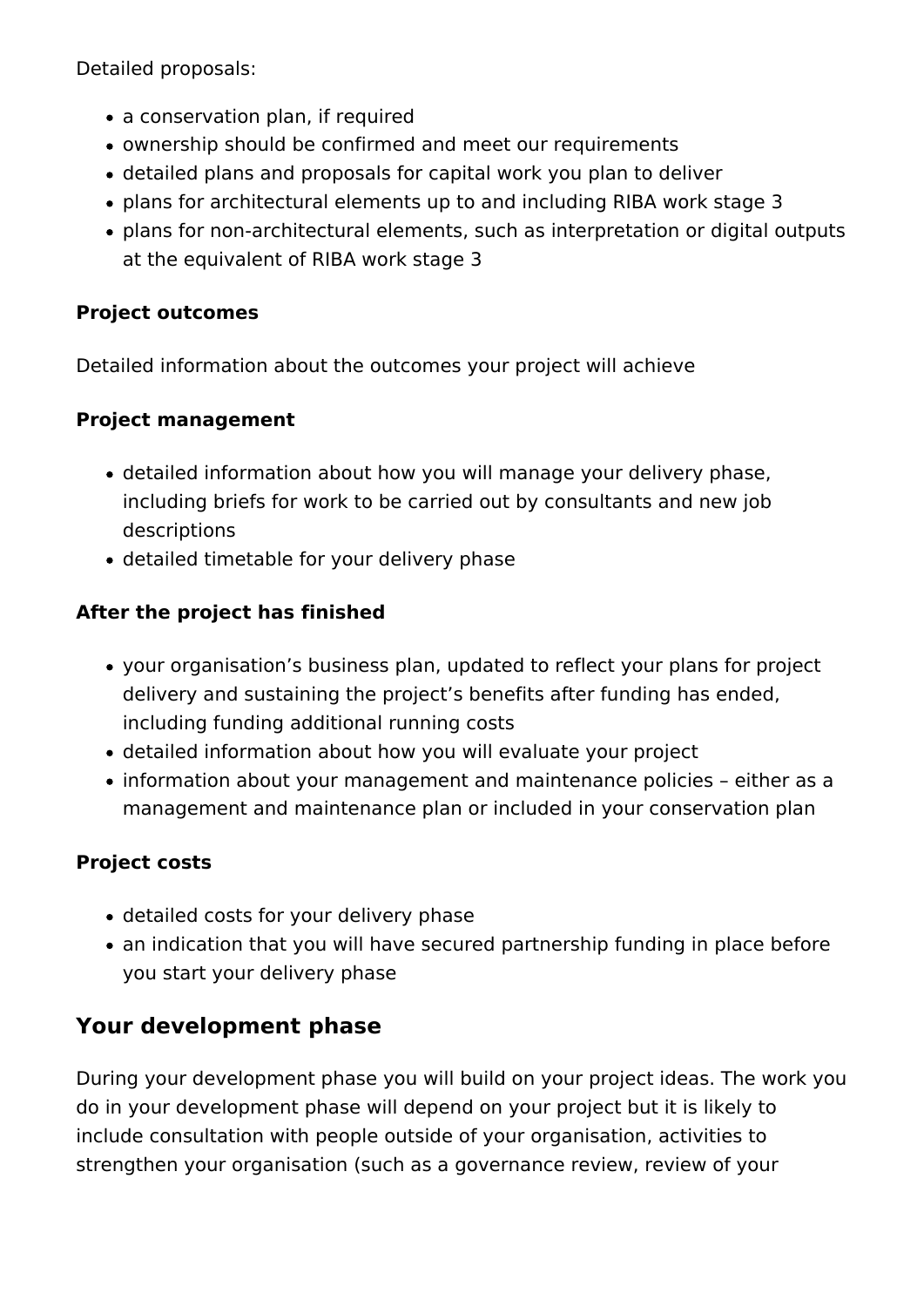Detailed proposals:

- a conservation plan, if required
- ownership should be confirmed and meet our requirements
- detailed plans and proposals for capital work you plan to deliver
- plans for architectural elements up to and including RIBA work stage 3
- plans for non-architectural elements, such as interpretation or digital outputs at the equivalent of RIBA work stage 3

#### **Project outcomes**

Detailed information about the outcomes your project will achieve

#### **Project management**

- detailed information about how you will manage your delivery phase, including briefs for work to be carried out by consultants and new job descriptions
- detailed timetable for your delivery phase

#### **After the project has finished**

- your organisation's business plan, updated to reflect your plans for project delivery and sustaining the project's benefits after funding has ended, including funding additional running costs
- detailed information about how you will evaluate your project
- information about your management and maintenance policies either as a management and maintenance plan or included in your conservation plan

#### **Project costs**

- detailed costs for your delivery phase
- an indication that you will have secured partnership funding in place before you start your delivery phase

### **Your development phase**

During your development phase you will build on your project ideas. The work you do in your development phase will depend on your project but it is likely to include consultation with people outside of your organisation, activities to strengthen your organisation (such as a governance review, review of your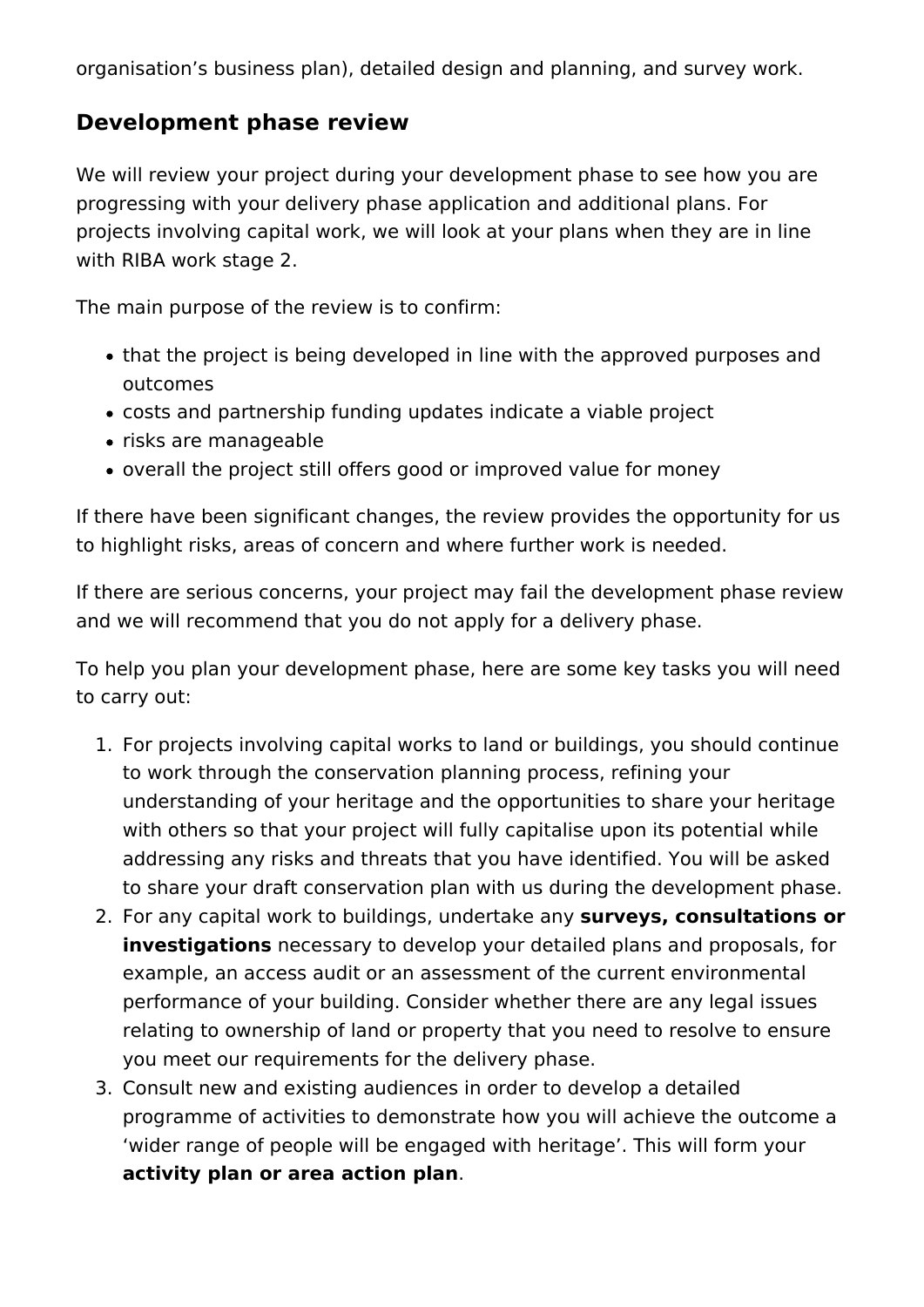organisation's business plan), detailed design and planning, and survey work.

### **Development phase review**

We will review your project during your development phase to see how you are progressing with your delivery phase application and additional plans. For projects involving capital work, we will look at your plans when they are in line with RIBA work stage 2.

The main purpose of the review is to confirm:

- that the project is being developed in line with the approved purposes and outcomes
- costs and partnership funding updates indicate a viable project
- risks are manageable
- overall the project still offers good or improved value for money

If there have been significant changes, the review provides the opportunity for us to highlight risks, areas of concern and where further work is needed.

If there are serious concerns, your project may fail the development phase review and we will recommend that you do not apply for a delivery phase.

To help you plan your development phase, here are some key tasks you will need to carry out:

- 1. For projects involving capital works to land or buildings, you should continue to work through the conservation planning process, refining your understanding of your heritage and the opportunities to share your heritage with others so that your project will fully capitalise upon its potential while addressing any risks and threats that you have identified. You will be asked to share your draft conservation plan with us during the development phase.
- 2. For any capital work to buildings, undertake any **surveys, consultations or investigations** necessary to develop your detailed plans and proposals, for example, an access audit or an assessment of the current environmental performance of your building. Consider whether there are any legal issues relating to ownership of land or property that you need to resolve to ensure you meet our requirements for the delivery phase.
- 3. Consult new and existing audiences in order to develop a detailed programme of activities to demonstrate how you will achieve the outcome a 'wider range of people will be engaged with heritage'. This will form your **activity plan or area action plan**.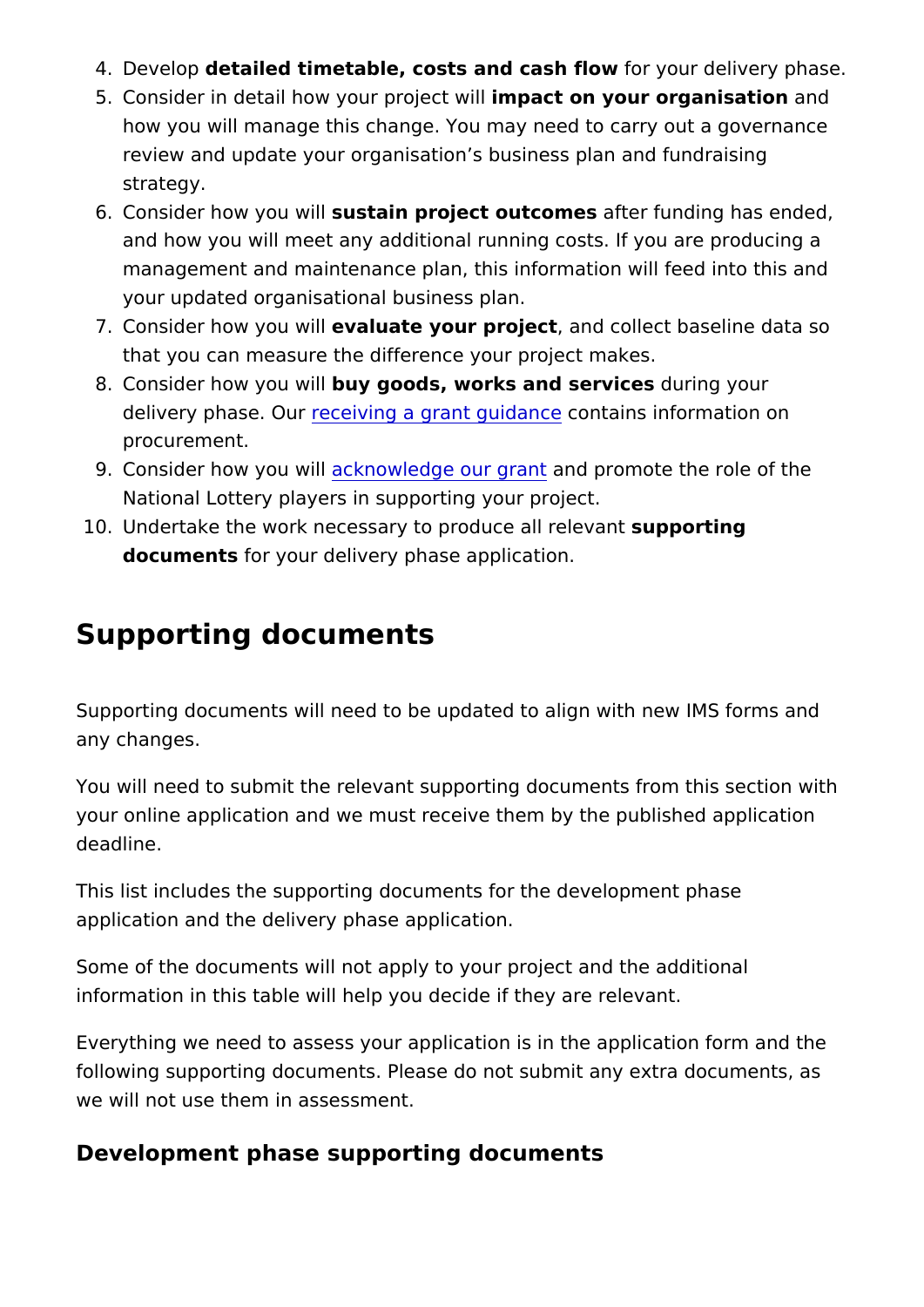- 4. Develoopetailed timetable, costs and cafsohr fylow r delivery phas
- 5. Consider in detail how your ipmrpaectowill dur organisaathidh how you will manage this change. You may need to carry out review and update your organisation s business plan and fur strategy.
- 6. Consider how yosuu swtialn project outcoanfest funding has ended and how you will meet any additional running costs. If you a management and maintenance plan, this information will fee your updated organisational business plan.
- 7. Consider how yo euw awliul atte your pro, jeantd collect baseline data that you can measure the difference your project makes.
- 8. Consider how yobuu wid bods, works and serdrucrens gyour delivery phasereOeurving a grant guodanaziens information on procurement.
- 9. Consider how you ckwriblwledge our annual not ompte the role of the National Lottery players in supporting your project.
- 10. Undertake the work necessary to produscupp paolin trienlog vant documents or your delivery phase application.

### Supporting documents

Supporting documents will need to be updated to align with new any changes.

You will need to submit the relevant supporting documents from your online application and we must receive them by the publish deadline.

This list includes the supporting documents for the developmen application and the delivery phase application.

Some of the documents will not apply to your project and the additional information in this table will help you decide if they are relevant

Everything we need to assess your application is in the applica following supporting documents. Please do not submit any extra we will not use them in assessment.

Development phase supporting documents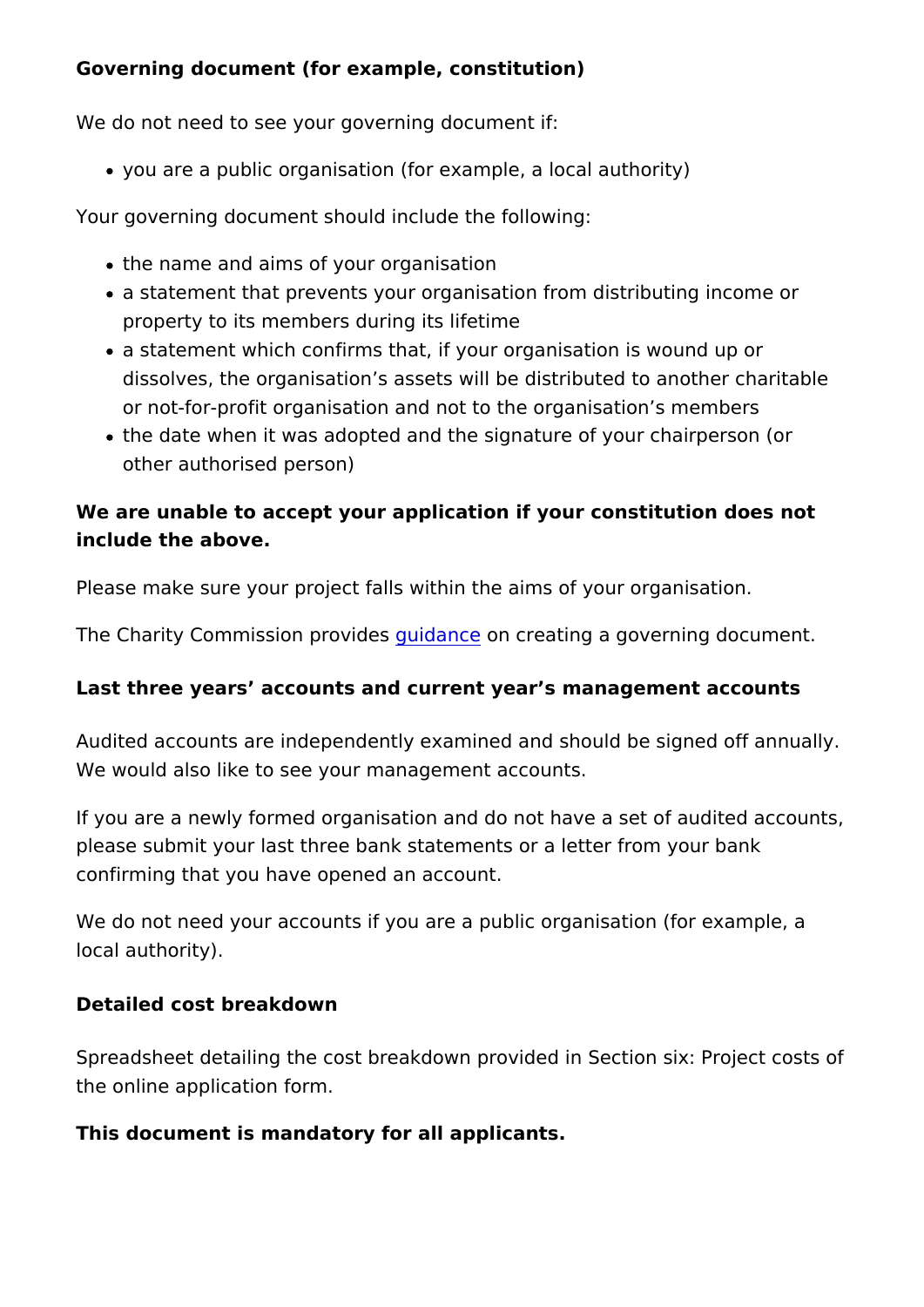Governing document (for example, constitution)

We do not need to see your governing document if:

you are a public organisation (for example, a local authority)

Your governing document should include the following:

- the name and aims of your organisation
- a statement that prevents your organisation from distributin property to its members during its lifetime
- a statement which confirms that, if your organisation is wou dissolves, the organisation s assets will be distributed to a or not-for-profit organisation and not to the organisation s members
- the date when it was adopted and the signature of your chair other authorised person)

We are unable to accept your application if your constitution do include the above.

Please make sure your project falls within the aims of your organisation.

The Charity Commission gourind and the creating a governing document

Last three years accounts and current year s management acco

Audited accounts are independently examined and should be sig We would also like to see your management accounts.

If you are a newly formed organisation and do not have a set of please submit your last three bank statements or a letter from y confirming that you have opened an account.

We do not need your accounts if you are a public organisation ( local authority).

Detailed cost breakdown

Spreadsheet detailing the cost breakdown provided in Section s the online application form.

This document is mandatory for all applicants.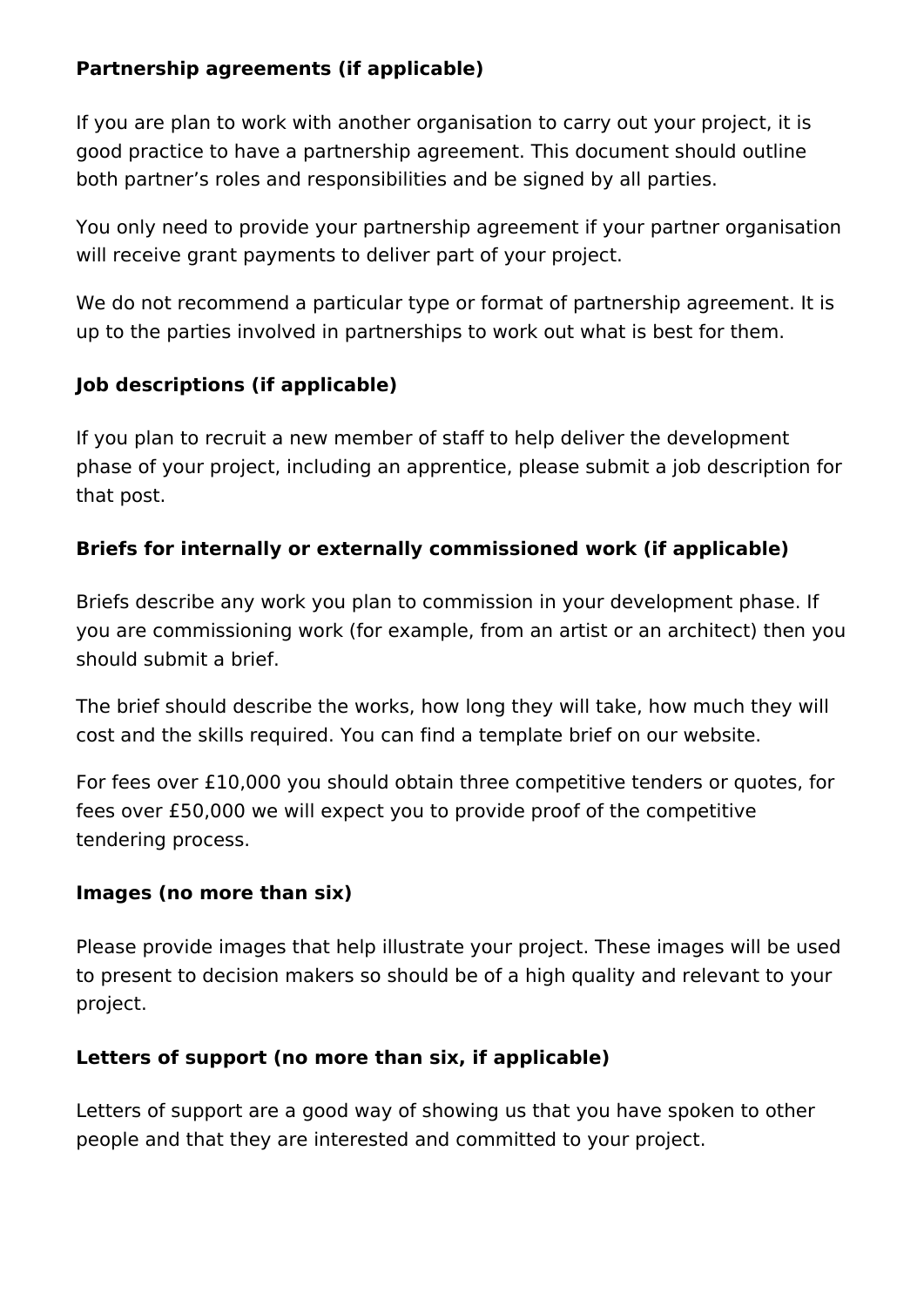#### **Partnership agreements (if applicable)**

If you are plan to work with another organisation to carry out your project, it is good practice to have a partnership agreement. This document should outline both partner's roles and responsibilities and be signed by all parties.

You only need to provide your partnership agreement if your partner organisation will receive grant payments to deliver part of your project.

We do not recommend a particular type or format of partnership agreement. It is up to the parties involved in partnerships to work out what is best for them.

#### **Job descriptions (if applicable)**

If you plan to recruit a new member of staff to help deliver the development phase of your project, including an apprentice, please submit a job description for that post.

#### **Briefs for internally or externally commissioned work (if applicable)**

Briefs describe any work you plan to commission in your development phase. If you are commissioning work (for example, from an artist or an architect) then you should submit a brief.

The brief should describe the works, how long they will take, how much they will cost and the skills required. You can find a template brief on our website.

For fees over £10,000 you should obtain three competitive tenders or quotes, for fees over £50,000 we will expect you to provide proof of the competitive tendering process.

#### **Images (no more than six)**

Please provide images that help illustrate your project. These images will be used to present to decision makers so should be of a high quality and relevant to your project.

#### **Letters of support (no more than six, if applicable)**

Letters of support are a good way of showing us that you have spoken to other people and that they are interested and committed to your project.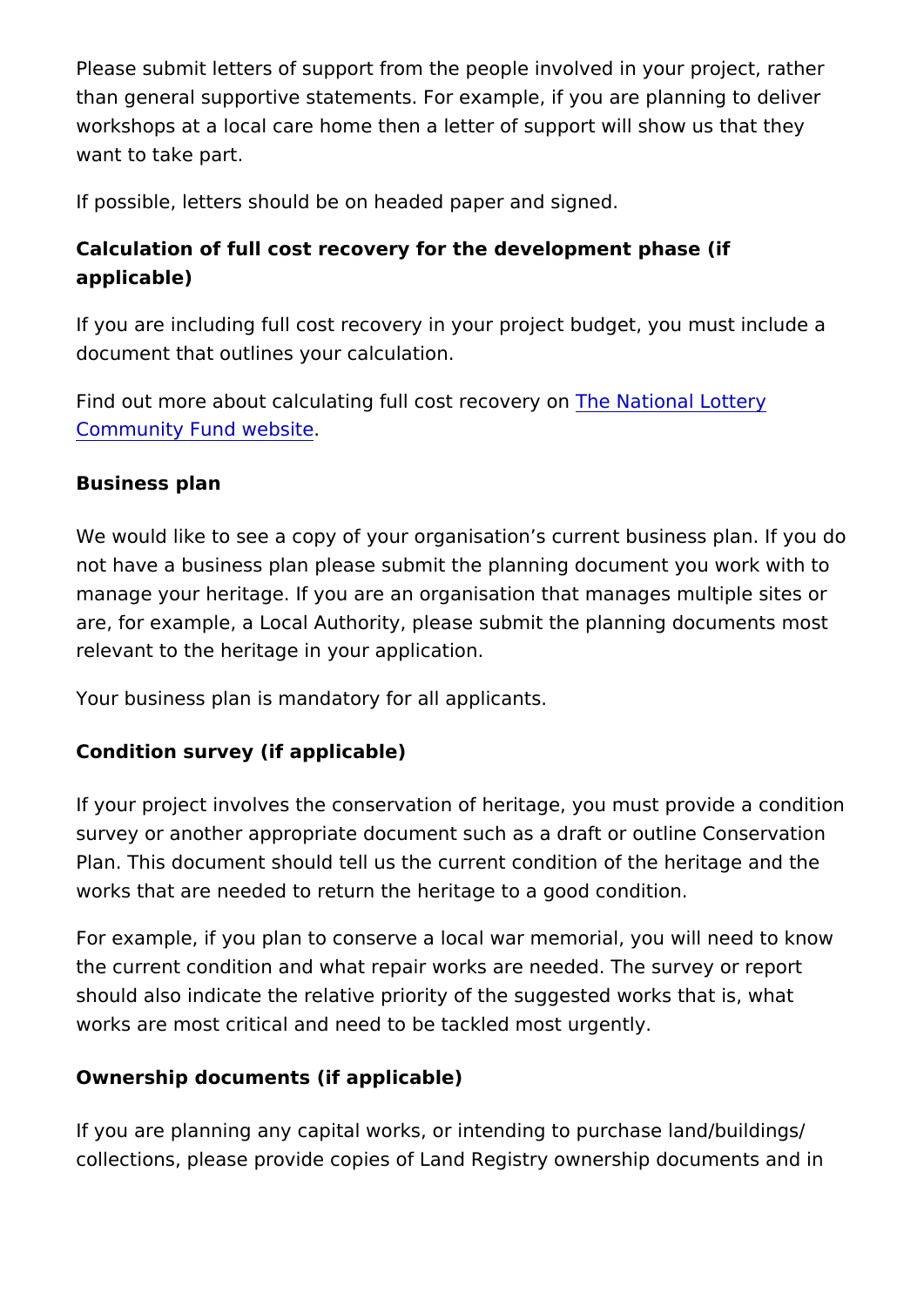Please submit letters of support from the people involved in your than general supportive statements. For example, if you are pla workshops at a local care home then a letter of support will show want to take part.

If possible, letters should be on headed paper and signed.

Calculation of full cost recovery for the development phase (if applicable)

If you are including full cost recovery in your project budget, y document that outlines your calculation.

Find out more about calculating full  $c\bar{\Phi}$  be reasonal dentional  $\Phi$ [Community Fund w](https://www.tnlcommunityfund.org.uk/funding/funding-guidance/full-cost-recovery)ebsite

Business plan

We would like to see a copy of your organisation s current busines not have a business plan please submit the planning document manage your heritage. If you are an organisation that manages are, for example, a Local Authority, please submit the planning relevant to the heritage in your application.

Your business plan is mandatory for all applicants.

Condition survey (if applicable)

If your project involves the conservation of heritage, you must survey or another appropriate document such as a draft or outling Plan. This document should tell us the current condition of the works that are needed to return the heritage to a good condition

For example, if you plan to conserve a local war memorial, you the current condition and what repair works are needed. The su should also indicate the relative priority of the suggested works works are most critical and need to be tackled most urgently.

Ownership documents (if applicable)

If you are planning any capital works, or intending to purchase collections, please provide copies of Land Registry ownership d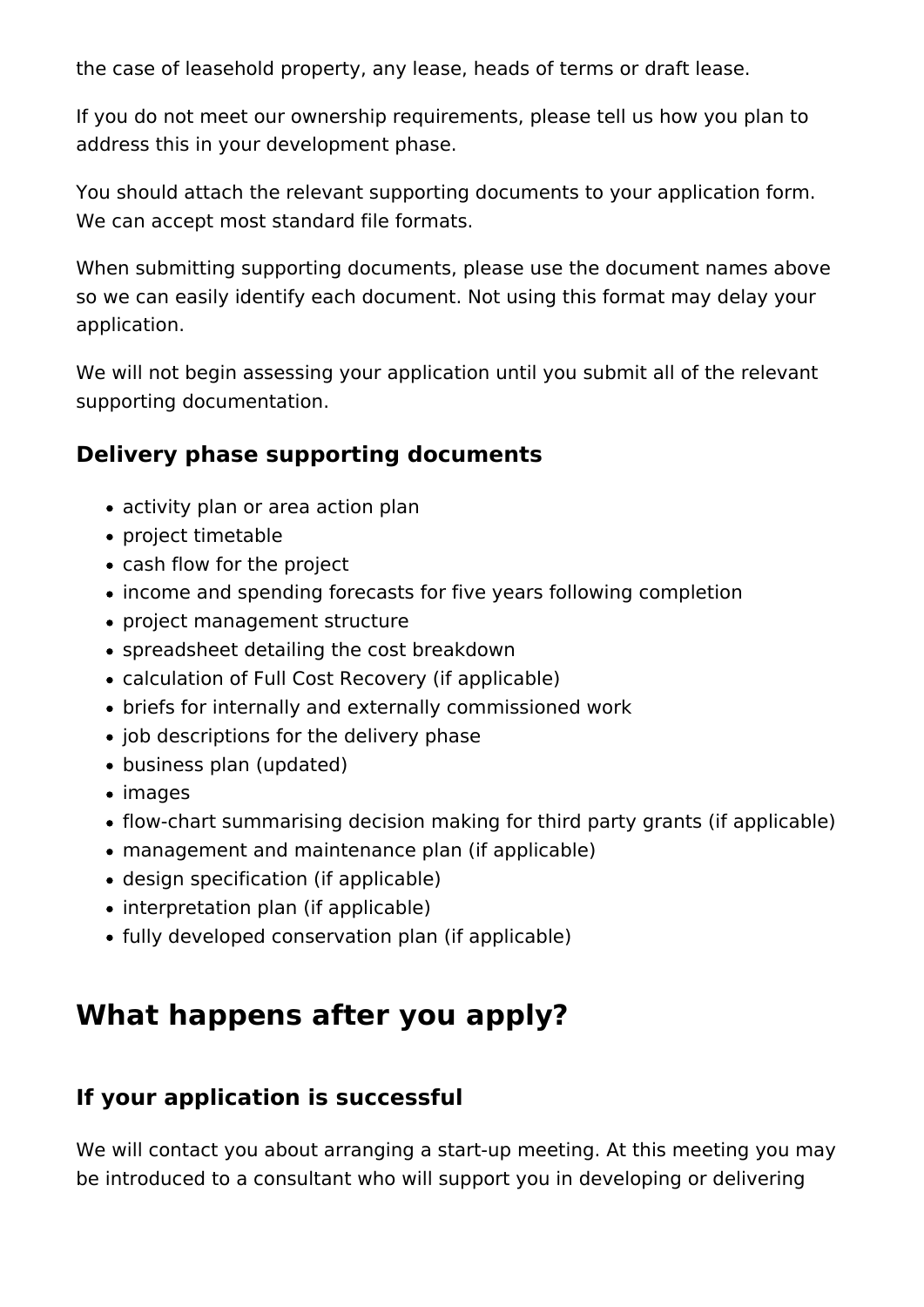the case of leasehold property, any lease, heads of terms or draft lease.

If you do not meet our ownership requirements, please tell us how you plan to address this in your development phase.

You should attach the relevant supporting documents to your application form. We can accept most standard file formats.

When submitting supporting documents, please use the document names above so we can easily identify each document. Not using this format may delay your application.

We will not begin assessing your application until you submit all of the relevant supporting documentation.

### **Delivery phase supporting documents**

- activity plan or area action plan
- project timetable
- cash flow for the project
- income and spending forecasts for five years following completion
- project management structure
- spreadsheet detailing the cost breakdown
- calculation of Full Cost Recovery (if applicable)
- briefs for internally and externally commissioned work
- job descriptions for the delivery phase
- business plan (updated)
- images
- flow-chart summarising decision making for third party grants (if applicable)
- management and maintenance plan (if applicable)
- design specification (if applicable)
- interpretation plan (if applicable)
- fully developed conservation plan (if applicable)

# **What happens after you apply?**

### **If your application is successful**

We will contact you about arranging a start-up meeting. At this meeting you may be introduced to a consultant who will support you in developing or delivering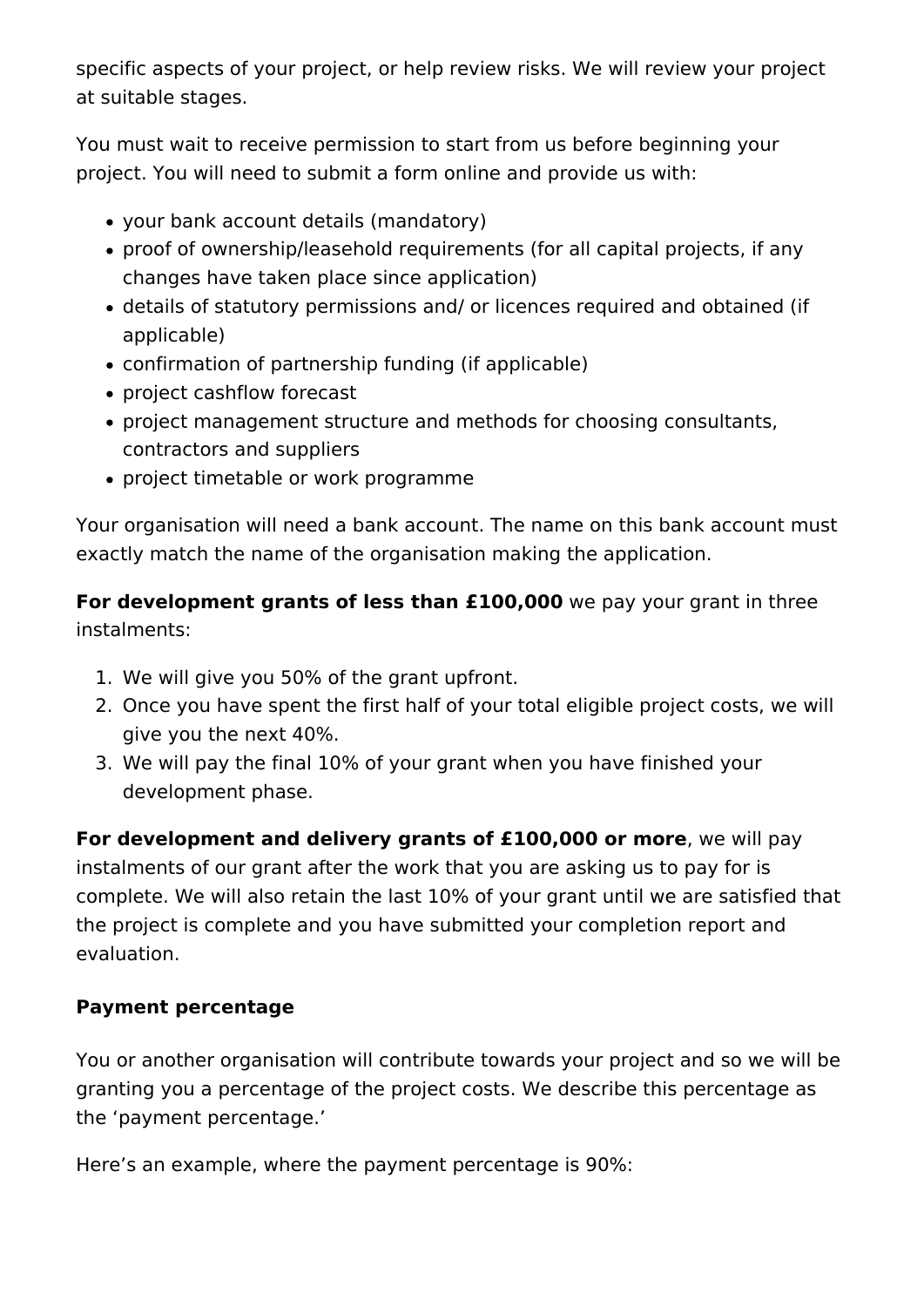specific aspects of your project, or help review risks. We will review your project at suitable stages.

You must wait to receive permission to start from us before beginning your project. You will need to submit a form online and provide us with:

- your bank account details (mandatory)
- proof of ownership/leasehold requirements (for all capital projects, if any changes have taken place since application)
- details of statutory permissions and/ or licences required and obtained (if applicable)
- confirmation of partnership funding (if applicable)
- project cashflow forecast
- project management structure and methods for choosing consultants, contractors and suppliers
- project timetable or work programme

Your organisation will need a bank account. The name on this bank account must exactly match the name of the organisation making the application.

**For development grants of less than £100,000** we pay your grant in three instalments:

- 1. We will give you 50% of the grant upfront.
- 2. Once you have spent the first half of your total eligible project costs, we will give you the next 40%.
- 3. We will pay the final 10% of your grant when you have finished your development phase.

**For development and delivery grants of £100,000 or more**, we will pay instalments of our grant after the work that you are asking us to pay for is complete. We will also retain the last 10% of your grant until we are satisfied that the project is complete and you have submitted your completion report and evaluation.

#### **Payment percentage**

You or another organisation will contribute towards your project and so we will be granting you a percentage of the project costs. We describe this percentage as the 'payment percentage.'

Here's an example, where the payment percentage is 90%: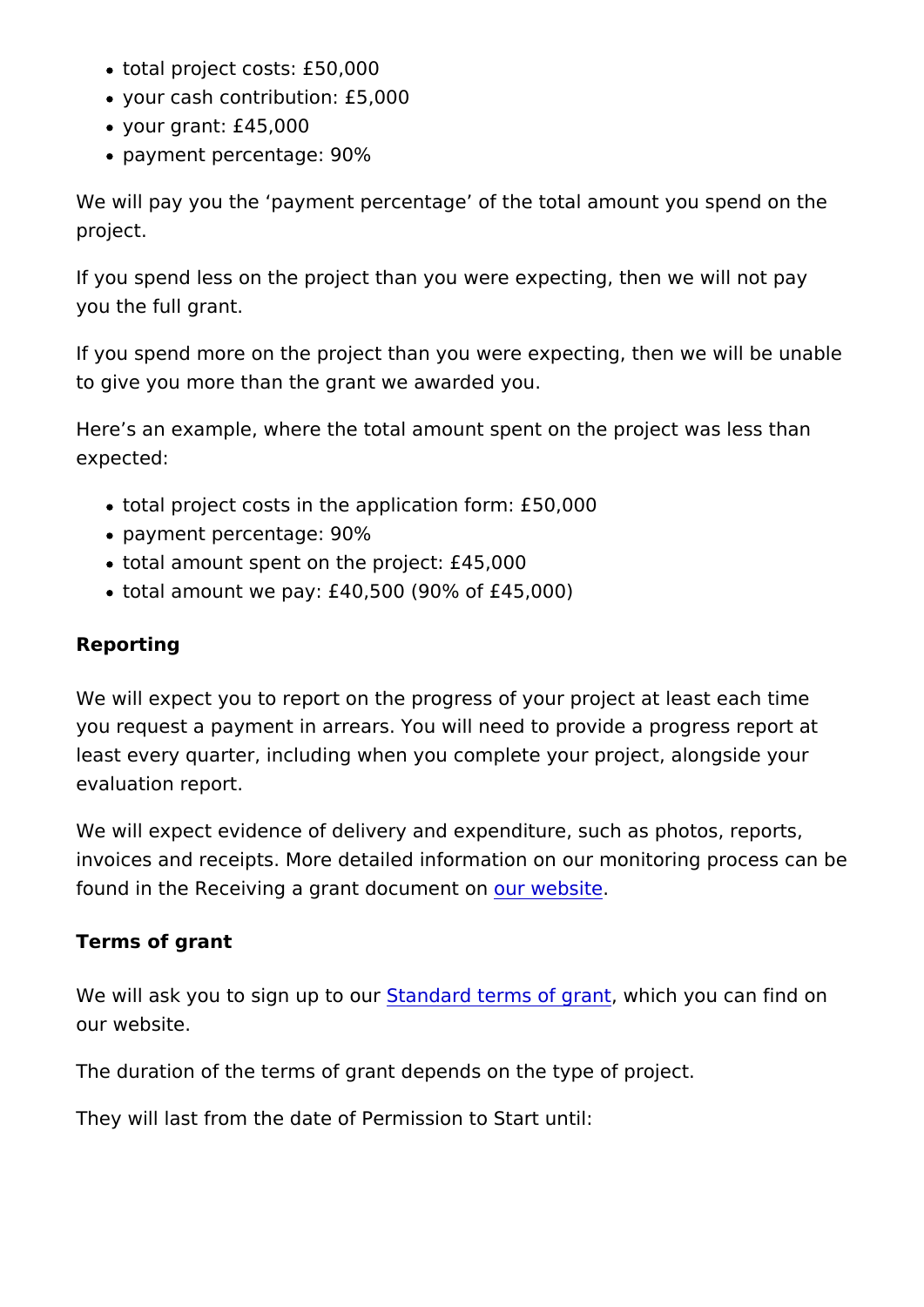- total project costs: £50,000
- your cash contribution: £5,000
- your grant: £45,000
- payment percentage: 90%

We will pay you the payment percentage of the total amount y project.

If you spend less on the project than you were expecting, then you the full grant.

If you spend more on the project than you were expecting, then to give you more than the grant we awarded you.

Here s an example, where the total amount spent on the project expected:

- total project costs in the application form: £50,000
- payment percentage: 90%
- total amount spent on the project: £45,000
- total amount we pay: £40,500 (90% of £45,000)

#### Reporting

We will expect you to report on the progress of your project at you request a payment in arrears. You will need to provide a pr least every quarter, including when you complete your project, evaluation report.

We will expect evidence of delivery and expenditure, such as pl invoices and receipts. More detailed information on our monitor found in the Receiving a grant doucrument iten

Terms of grant

We will ask you to sign Sutpart daord rterms of whaich you can find on our website.

The duration of the terms of grant depends on the type of proje

They will last from the date of Permission to Start until: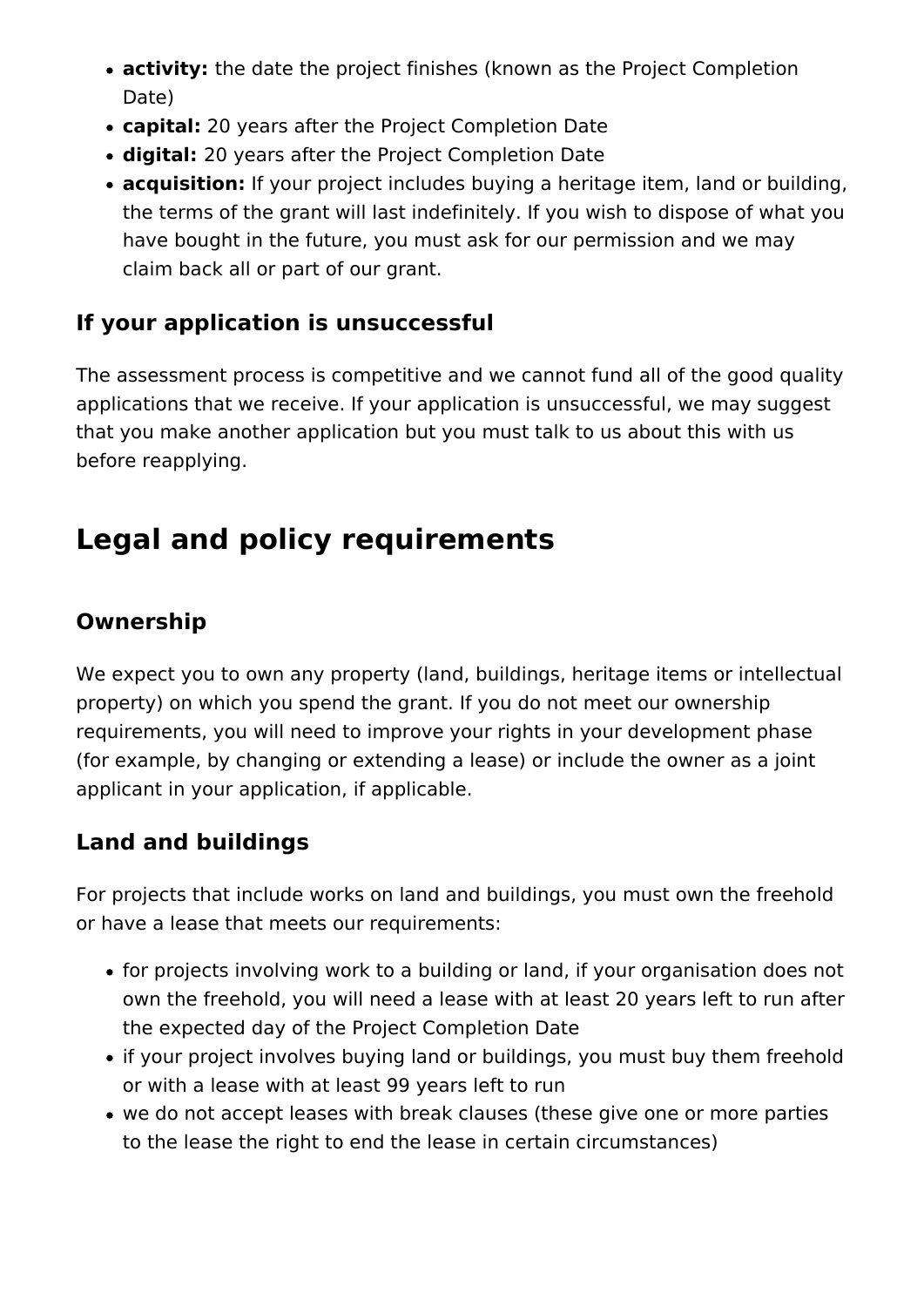- **activity:** the date the project finishes (known as the Project Completion Date)
- **capital:** 20 years after the Project Completion Date
- **digital:** 20 years after the Project Completion Date
- **acquisition:** If your project includes buying a heritage item, land or building, the terms of the grant will last indefinitely. If you wish to dispose of what you have bought in the future, you must ask for our permission and we may claim back all or part of our grant.

# **If your application is unsuccessful**

The assessment process is competitive and we cannot fund all of the good quality applications that we receive. If your application is unsuccessful, we may suggest that you make another application but you must talk to us about this with us before reapplying.

# **Legal and policy requirements**

# **Ownership**

We expect you to own any property (land, buildings, heritage items or intellectual property) on which you spend the grant. If you do not meet our ownership requirements, you will need to improve your rights in your development phase (for example, by changing or extending a lease) or include the owner as a joint applicant in your application, if applicable.

### **Land and buildings**

For projects that include works on land and buildings, you must own the freehold or have a lease that meets our requirements:

- for projects involving work to a building or land, if your organisation does not own the freehold, you will need a lease with at least 20 years left to run after the expected day of the Project Completion Date
- if your project involves buying land or buildings, you must buy them freehold or with a lease with at least 99 years left to run
- we do not accept leases with break clauses (these give one or more parties to the lease the right to end the lease in certain circumstances)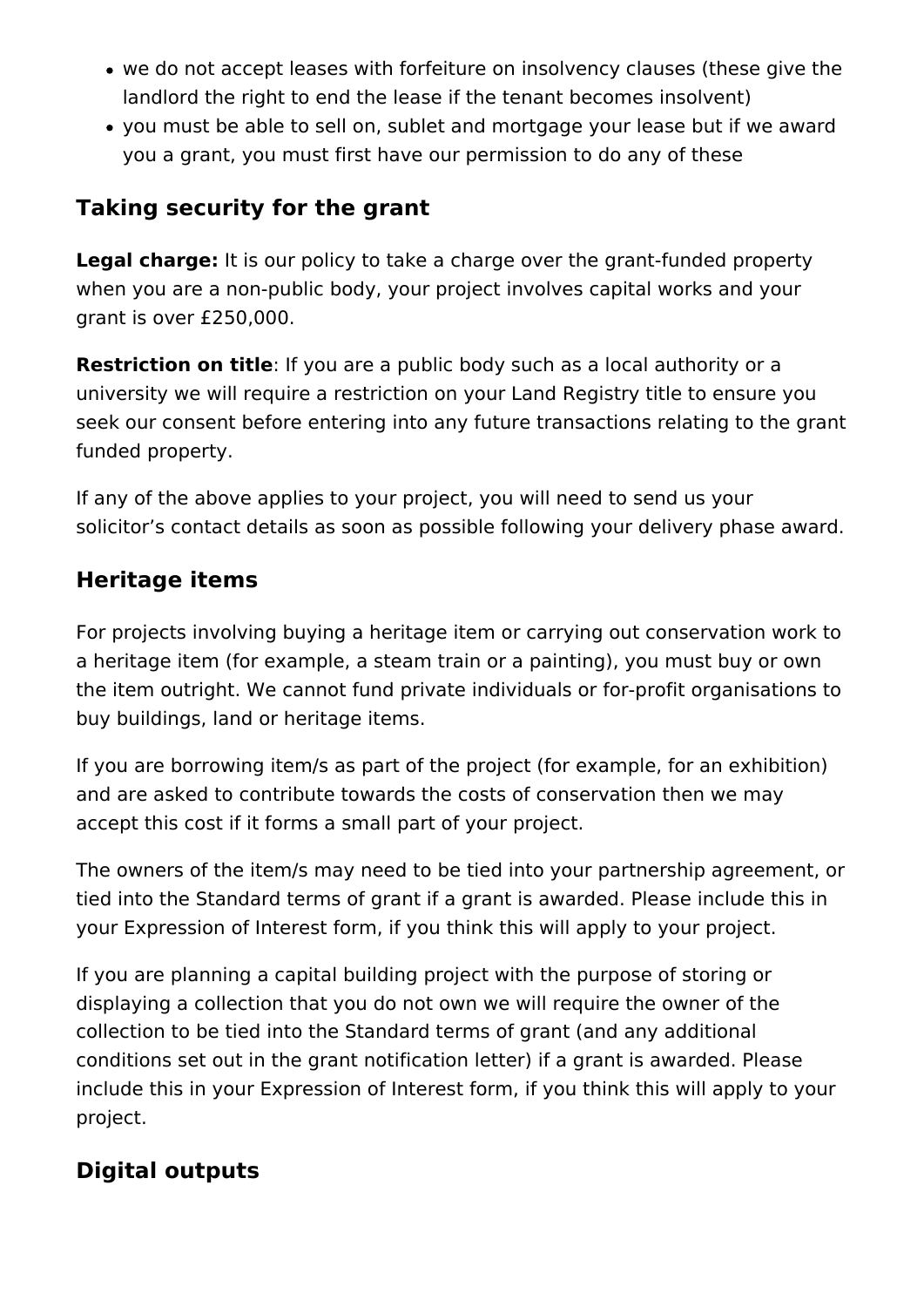- we do not accept leases with forfeiture on insolvency clauses (these give the landlord the right to end the lease if the tenant becomes insolvent)
- you must be able to sell on, sublet and mortgage your lease but if we award you a grant, you must first have our permission to do any of these

### **Taking security for the grant**

**Legal charge:** It is our policy to take a charge over the grant-funded property when you are a non-public body, your project involves capital works and your grant is over £250,000.

**Restriction on title**: If you are a public body such as a local authority or a university we will require a restriction on your Land Registry title to ensure you seek our consent before entering into any future transactions relating to the grant funded property.

If any of the above applies to your project, you will need to send us your solicitor's contact details as soon as possible following your delivery phase award.

### **Heritage items**

For projects involving buying a heritage item or carrying out conservation work to a heritage item (for example, a steam train or a painting), you must buy or own the item outright. We cannot fund private individuals or for-profit organisations to buy buildings, land or heritage items.

If you are borrowing item/s as part of the project (for example, for an exhibition) and are asked to contribute towards the costs of conservation then we may accept this cost if it forms a small part of your project.

The owners of the item/s may need to be tied into your partnership agreement, or tied into the Standard terms of grant if a grant is awarded. Please include this in your Expression of Interest form, if you think this will apply to your project.

If you are planning a capital building project with the purpose of storing or displaying a collection that you do not own we will require the owner of the collection to be tied into the Standard terms of grant (and any additional conditions set out in the grant notification letter) if a grant is awarded. Please include this in your Expression of Interest form, if you think this will apply to your project.

### **Digital outputs**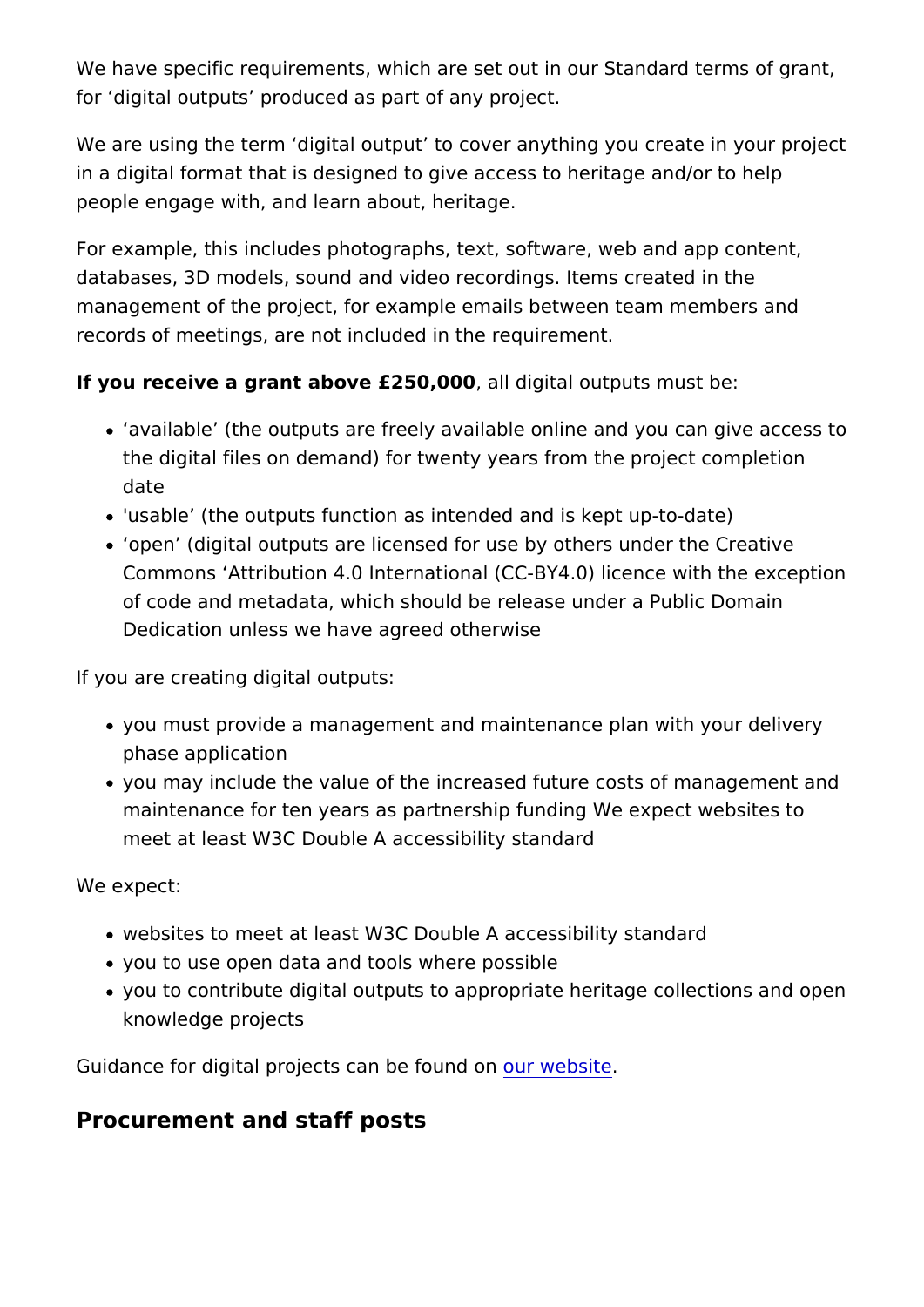We have specific requirements, which are set out in our Standard for digital outputs produced as part of any project.

We are using the term digital output to cover anything you cre in a digital format that is designed to give access to heritage a people engage with, and learn about, heritage.

For example, this includes photographs, text, software, web and databases, 3D models, sound and video recordings. Items creat management of the project, for example emails between team m records of meetings, are not included in the requirement.

If you receive a grant above  $£250$ ,  $0000$  gital outputs must be:

- available (the outputs are freely available online and you the digital files on demand) for twenty years from the projed date
- 'usable (the outputs function as intended and is kept up-to-
- open (digital outputs are licensed for use by others under Commons Attribution 4.0 International (CC-BY4.0) licence v of code and metadata, which should be release under a Publ Dedication unless we have agreed otherwise

If you are creating digital outputs:

- you must provide a management and maintenance plan with phase application
- you may include the value of the increased future costs of n maintenance for ten years as partnership funding We expect meet at least W3C Double A accessibility standard

We expect:

- websites to meet at least W3C Double A accessibility standa
- you to use open data and tools where possible
- you to contribute digital outputs to appropriate heritage col knowledge projects

Guidance for digital projects cam whe web aid con

Procurement and staff posts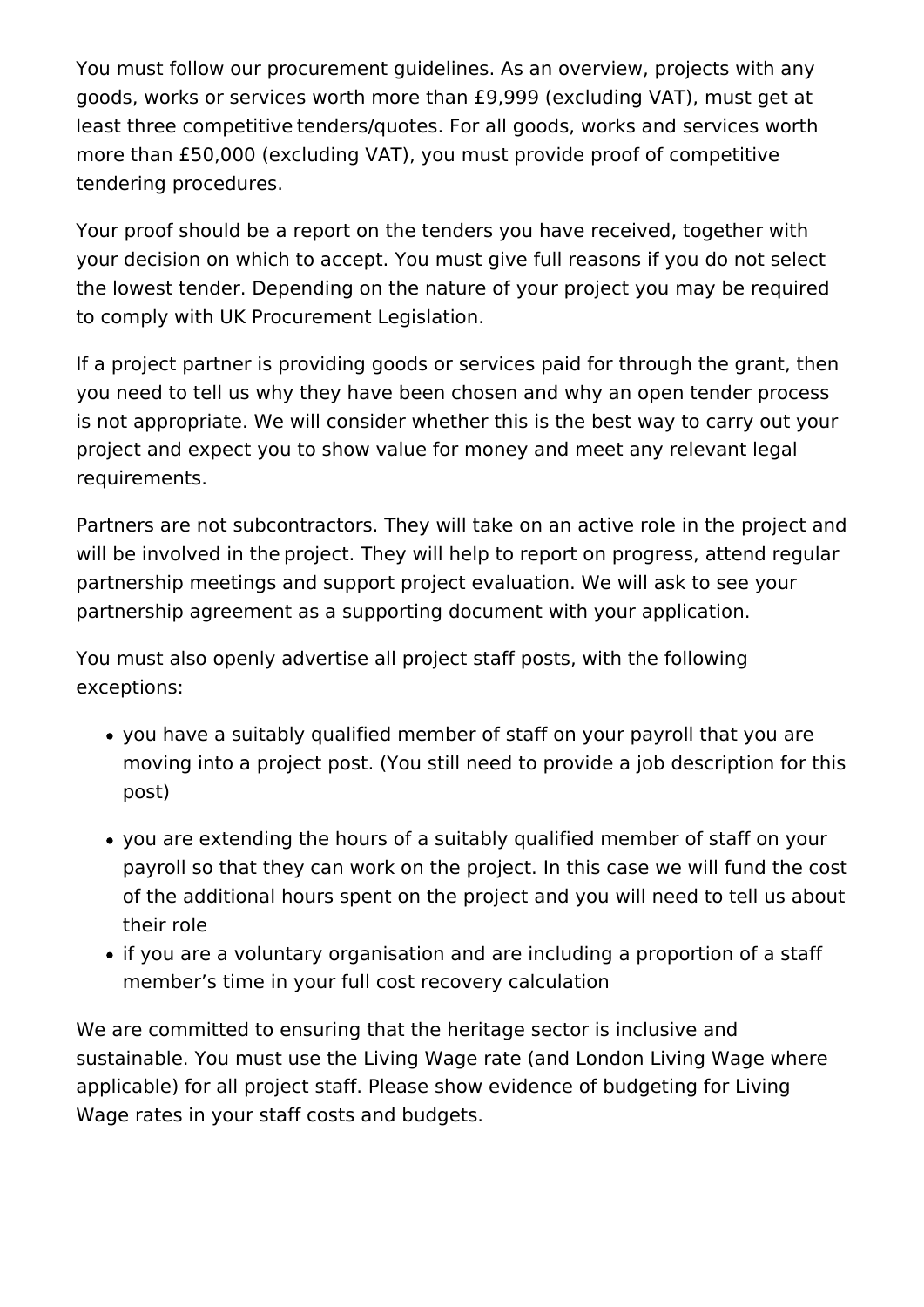You must follow our procurement guidelines. As an overview, projects with any goods, works or services worth more than £9,999 (excluding VAT), must get at least three competitive tenders/quotes. For all goods, works and services worth more than £50,000 (excluding VAT), you must provide proof of competitive tendering procedures. 

Your proof should be a report on the tenders you have received, together with your decision on which to accept. You must give full reasons if you do not select the lowest tender. Depending on the nature of your project you may be required to comply with UK Procurement Legislation. 

If a project partner is providing goods or services paid for through the grant, then you need to tell us why they have been chosen and why an open tender process is not appropriate. We will consider whether this is the best way to carry out your project and expect you to show value for money and meet any relevant legal requirements. 

Partners are not subcontractors. They will take on an active role in the project and will be involved in the project. They will help to report on progress, attend regular partnership meetings and support project evaluation. We will ask to see your partnership agreement as a supporting document with your application. 

You must also openly advertise all project staff posts, with the following exceptions: 

- you have a suitably qualified member of staff on your payroll that you are moving into a project post. (You still need to provide a job description for this post)
- you are extending the hours of a suitably qualified member of staff on your payroll so that they can work on the project. In this case we will fund the cost of the additional hours spent on the project and you will need to tell us about their role
- if you are a voluntary organisation and are including a proportion of a staff member's time in your full cost recovery calculation

We are committed to ensuring that the heritage sector is inclusive and sustainable. You must use the Living Wage rate (and London Living Wage where applicable) for all project staff. Please show evidence of budgeting for Living Wage rates in your staff costs and budgets.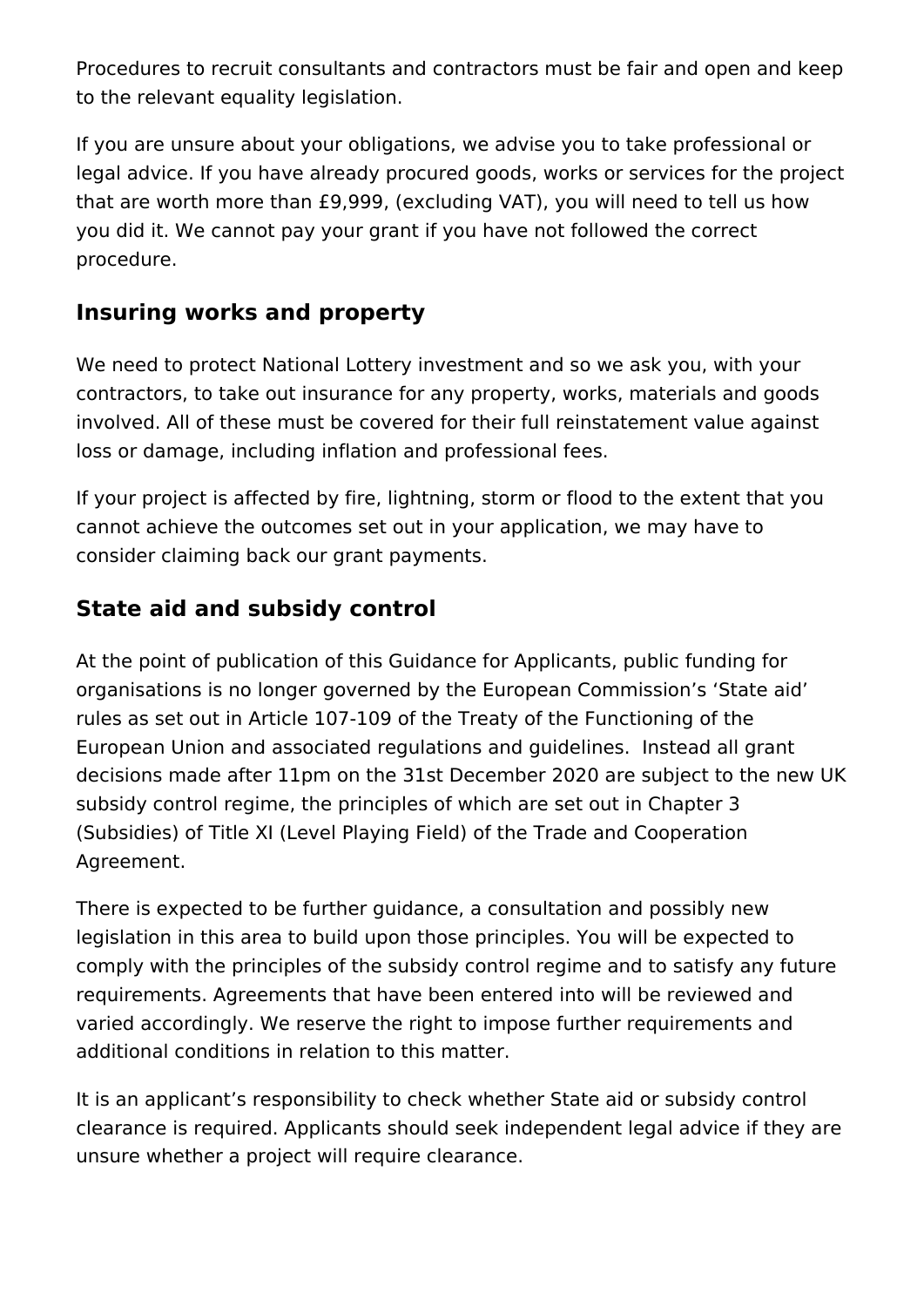Procedures to recruit consultants and contractors must be fair and open and keep to the relevant equality legislation. 

If you are unsure about your obligations, we advise you to take professional or legal advice. If you have already procured goods, works or services for the project that are worth more than £9,999, (excluding VAT), you will need to tell us how you did it. We cannot pay your grant if you have not followed the correct procedure.

### **Insuring works and property**

We need to protect National Lottery investment and so we ask you, with your contractors, to take out insurance for any property, works, materials and goods involved. All of these must be covered for their full reinstatement value against loss or damage, including inflation and professional fees.

If your project is affected by fire, lightning, storm or flood to the extent that you cannot achieve the outcomes set out in your application, we may have to consider claiming back our grant payments.

# **State aid and subsidy control**

At the point of publication of this Guidance for Applicants, public funding for organisations is no longer governed by the European Commission's 'State aid' rules as set out in Article 107-109 of the Treaty of the Functioning of the European Union and associated regulations and guidelines. Instead all grant decisions made after 11pm on the 31st December 2020 are subject to the new UK subsidy control regime, the principles of which are set out in Chapter 3 (Subsidies) of Title XI (Level Playing Field) of the Trade and Cooperation Agreement.

There is expected to be further guidance, a consultation and possibly new legislation in this area to build upon those principles. You will be expected to comply with the principles of the subsidy control regime and to satisfy any future requirements. Agreements that have been entered into will be reviewed and varied accordingly. We reserve the right to impose further requirements and additional conditions in relation to this matter.

It is an applicant's responsibility to check whether State aid or subsidy control clearance is required. Applicants should seek independent legal advice if they are unsure whether a project will require clearance.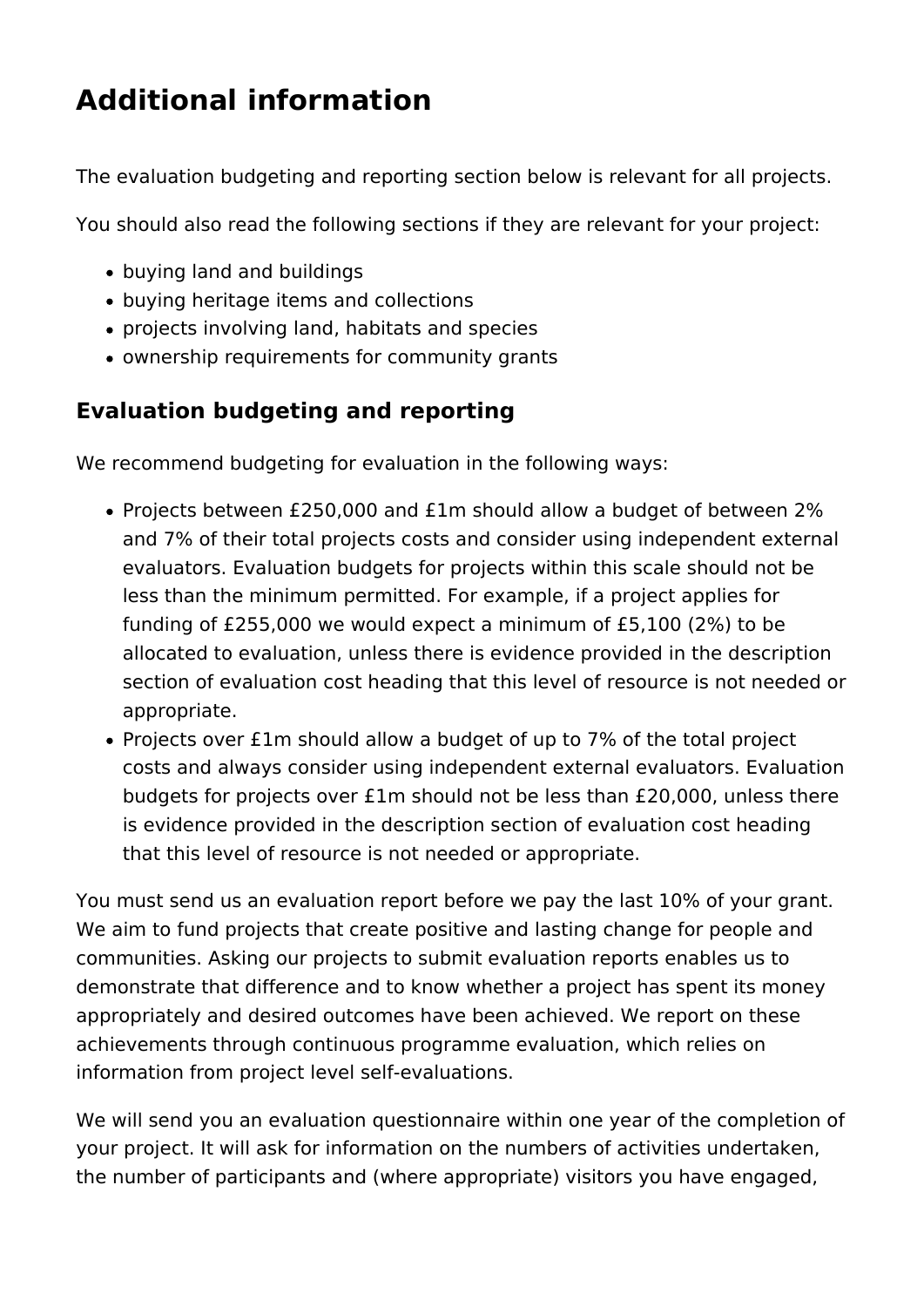# **Additional information**

The evaluation budgeting and reporting section below is relevant for all projects.

You should also read the following sections if they are relevant for your project:

- buying land and buildings
- buying heritage items and collections
- projects involving land, habitats and species
- ownership requirements for community grants

# **Evaluation budgeting and reporting**

We recommend budgeting for evaluation in the following ways:

- Projects between £250,000 and £1m should allow a budget of between 2% and 7% of their total projects costs and consider using independent external evaluators. Evaluation budgets for projects within this scale should not be less than the minimum permitted. For example, if a project applies for funding of £255,000 we would expect a minimum of £5,100 (2%) to be allocated to evaluation, unless there is evidence provided in the description section of evaluation cost heading that this level of resource is not needed or appropriate.
- Projects over £1m should allow a budget of up to 7% of the total project costs and always consider using independent external evaluators. Evaluation budgets for projects over £1m should not be less than £20,000, unless there is evidence provided in the description section of evaluation cost heading that this level of resource is not needed or appropriate.

You must send us an evaluation report before we pay the last 10% of your grant. We aim to fund projects that create positive and lasting change for people and communities. Asking our projects to submit evaluation reports enables us to demonstrate that difference and to know whether a project has spent its money appropriately and desired outcomes have been achieved. We report on these achievements through continuous programme evaluation, which relies on information from project level self-evaluations.

We will send you an evaluation questionnaire within one year of the completion of your project. It will ask for information on the numbers of activities undertaken, the number of participants and (where appropriate) visitors you have engaged,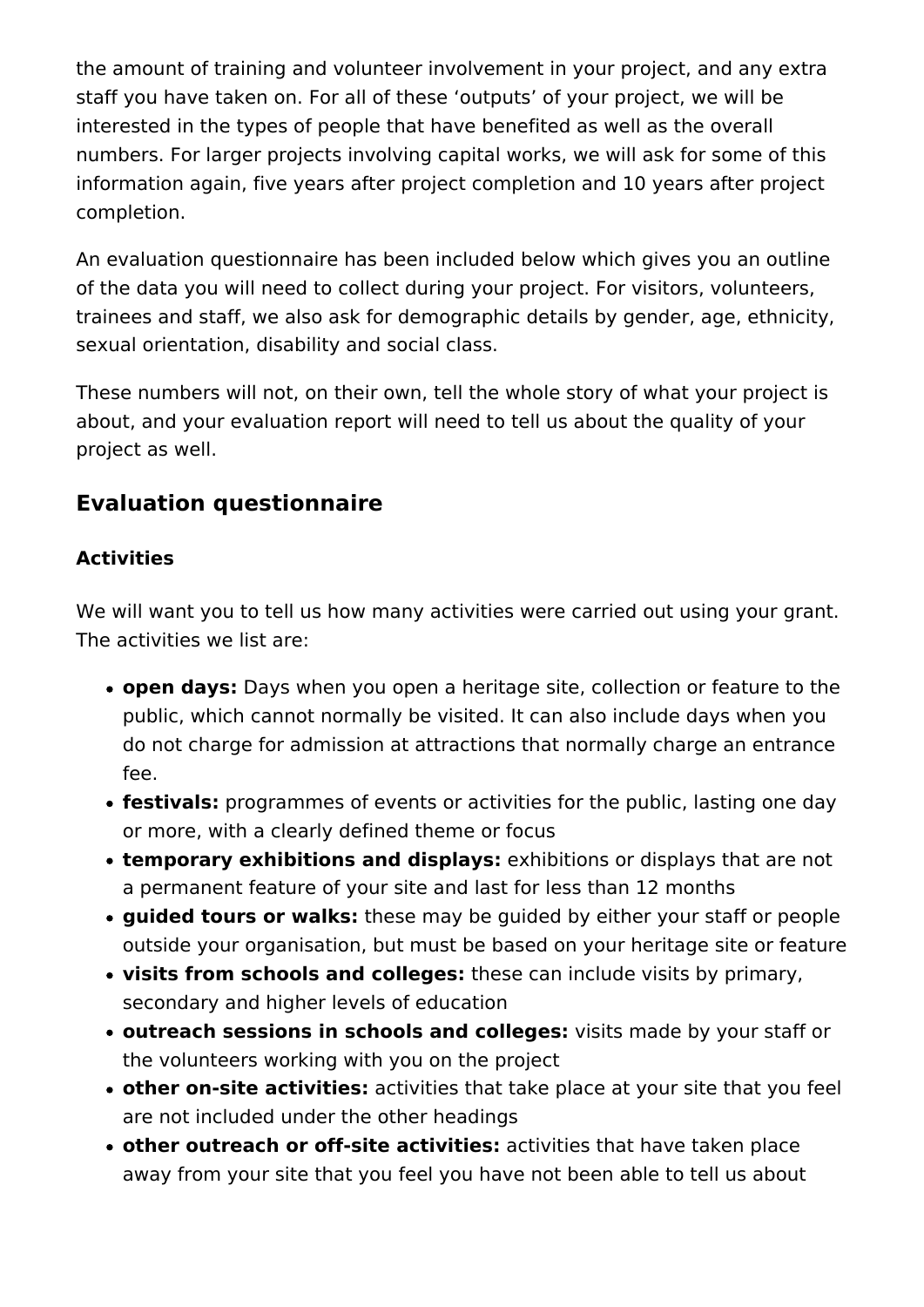the amount of training and volunteer involvement in your project, and any extra staff you have taken on. For all of these 'outputs' of your project, we will be interested in the types of people that have benefited as well as the overall numbers. For larger projects involving capital works, we will ask for some of this information again, five years after project completion and 10 years after project completion.

An evaluation questionnaire has been included below which gives you an outline of the data you will need to collect during your project. For visitors, volunteers, trainees and staff, we also ask for demographic details by gender, age, ethnicity, sexual orientation, disability and social class.

These numbers will not, on their own, tell the whole story of what your project is about, and your evaluation report will need to tell us about the quality of your project as well.

# **Evaluation questionnaire**

### **Activities**

We will want you to tell us how many activities were carried out using your grant. The activities we list are:

- **open days:** Days when you open a heritage site, collection or feature to the public, which cannot normally be visited. It can also include days when you do not charge for admission at attractions that normally charge an entrance fee.
- **festivals:** programmes of events or activities for the public, lasting one day or more, with a clearly defined theme or focus
- **temporary exhibitions and displays:** exhibitions or displays that are not a permanent feature of your site and last for less than 12 months
- **guided tours or walks:** these may be guided by either your staff or people outside your organisation, but must be based on your heritage site or feature
- **visits from schools and colleges:** these can include visits by primary, secondary and higher levels of education
- **outreach sessions in schools and colleges:** visits made by your staff or the volunteers working with you on the project
- **other on-site activities:** activities that take place at your site that you feel are not included under the other headings
- **other outreach or off-site activities:** activities that have taken place away from your site that you feel you have not been able to tell us about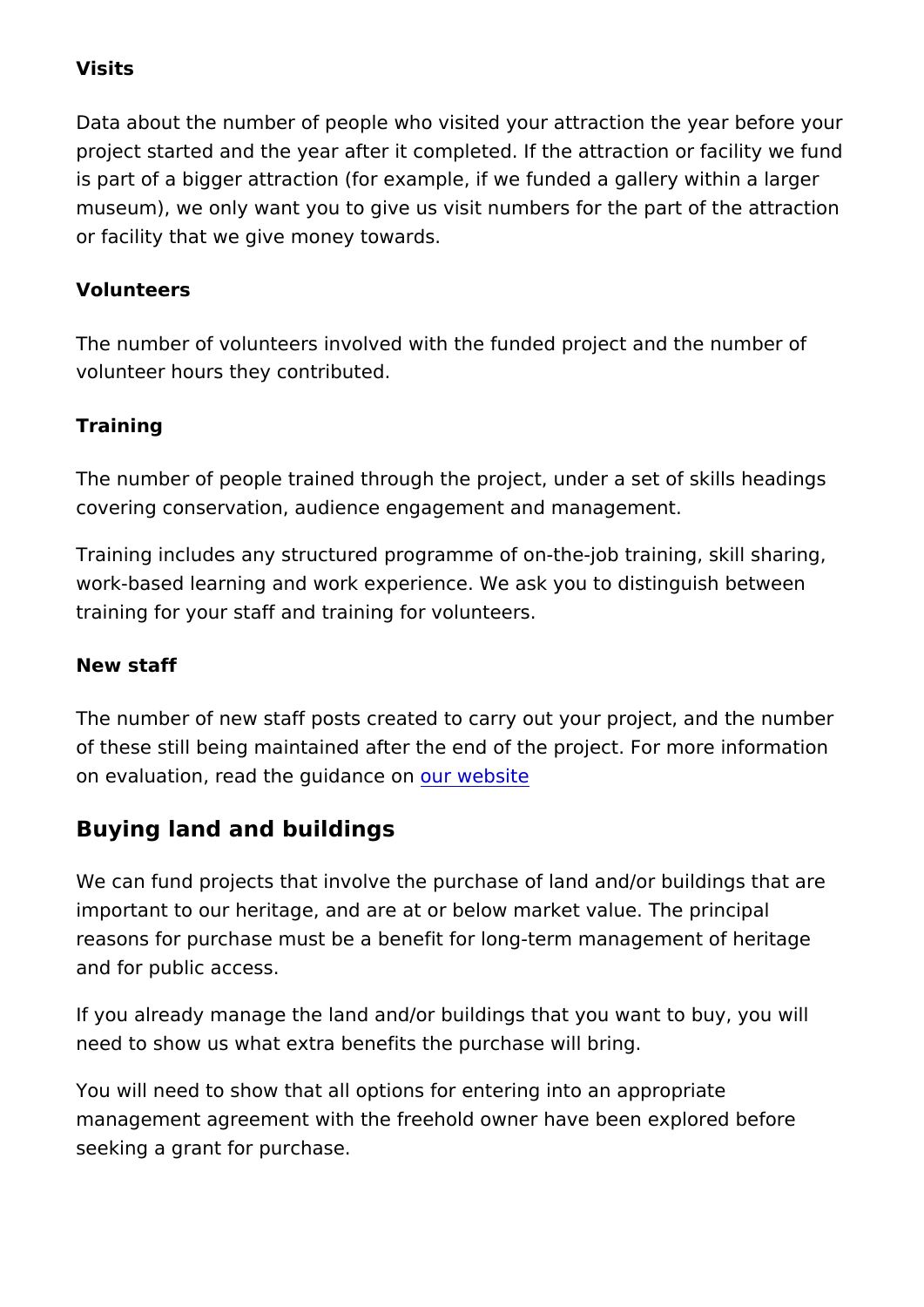#### Visits

Data about the number of people who visited your attraction the project started and the year after it completed. If the attractior is part of a bigger attraction (for example, if we funded a galle museum), we only want you to give us visit numbers for the par or facility that we give money towards.

#### Volunteers

The number of volunteers involved with the funded project and volunteer hours they contributed.

Training

The number of people trained through the project, under a set of covering conservation, audience engagement and management.

Training includes any structured programme of on-the-job traini work-based learning and work experience. We ask you to disting training for your staff and training for volunteers.

New staff

The number of new staff posts created to carry out your project of these still being maintained after the end of the project. For on evaluation, read the guodance bonte

Buying land and buildings

We can fund projects that involve the purchase of land and/or b important to our heritage, and are at or below market value. The reasons for purchase must be a benefit for long-term manageme and for public access.

If you already manage the land and/or buildings that you want to need to show us what extra benefits the purchase will bring.

You will need to show that all options for entering into an appro management agreement with the freehold owner have been explored before seeking a grant for purchase.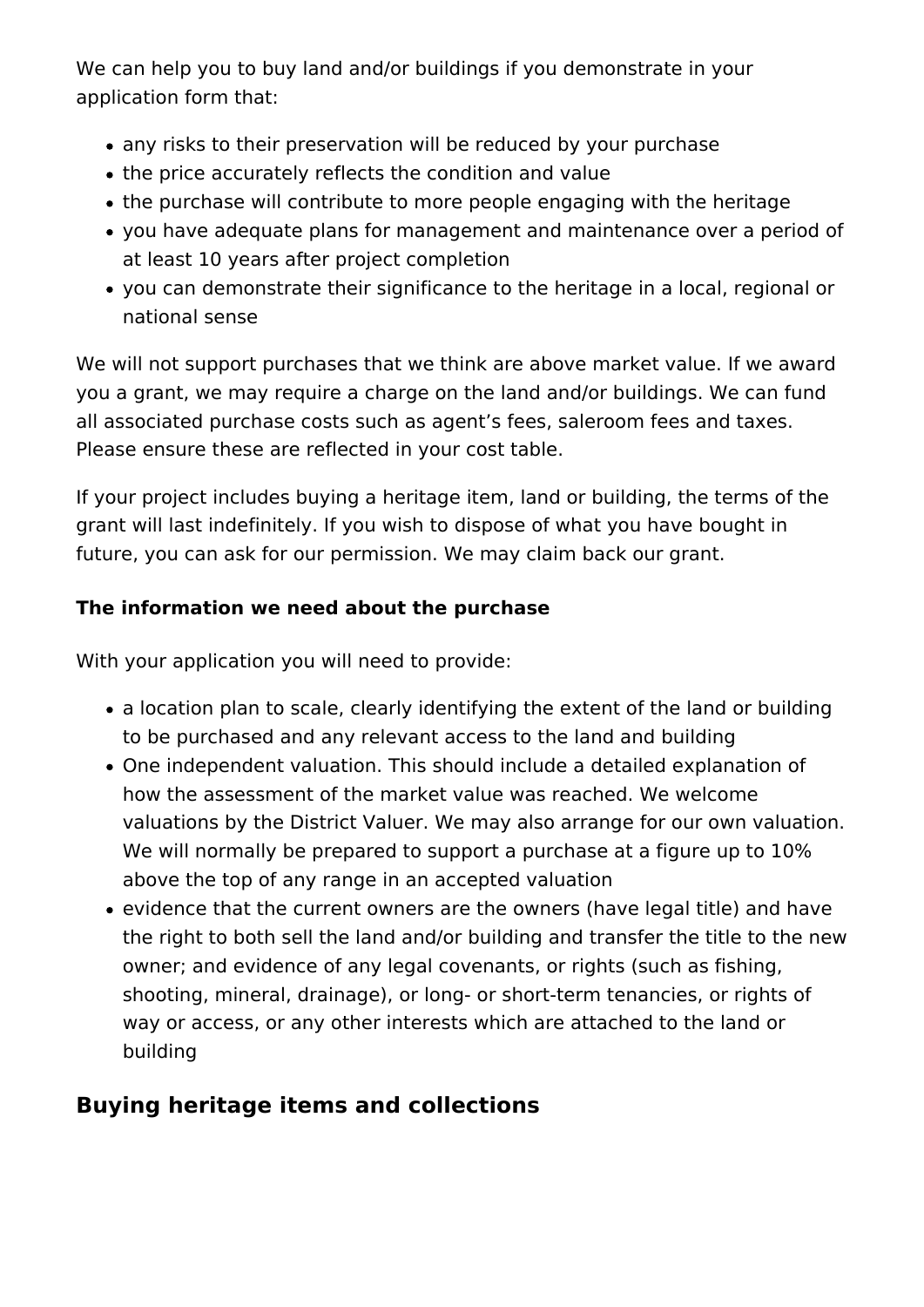We can help you to buy land and/or buildings if you demonstrate in your application form that:

- any risks to their preservation will be reduced by your purchase
- the price accurately reflects the condition and value
- the purchase will contribute to more people engaging with the heritage
- you have adequate plans for management and maintenance over a period of at least 10 years after project completion
- you can demonstrate their significance to the heritage in a local, regional or national sense

We will not support purchases that we think are above market value. If we award you a grant, we may require a charge on the land and/or buildings. We can fund all associated purchase costs such as agent's fees, saleroom fees and taxes. Please ensure these are reflected in your cost table.

If your project includes buying a heritage item, land or building, the terms of the grant will last indefinitely. If you wish to dispose of what you have bought in future, you can ask for our permission. We may claim back our grant.

#### **The information we need about the purchase**

With your application you will need to provide:

- a location plan to scale, clearly identifying the extent of the land or building to be purchased and any relevant access to the land and building
- One independent valuation. This should include a detailed explanation of how the assessment of the market value was reached. We welcome valuations by the District Valuer. We may also arrange for our own valuation. We will normally be prepared to support a purchase at a figure up to  $10\%$ above the top of any range in an accepted valuation
- evidence that the current owners are the owners (have legal title) and have the right to both sell the land and/or building and transfer the title to the new owner; and evidence of any legal covenants, or rights (such as fishing, shooting, mineral, drainage), or long- or short-term tenancies, or rights of way or access, or any other interests which are attached to the land or building

### **Buying heritage items and collections**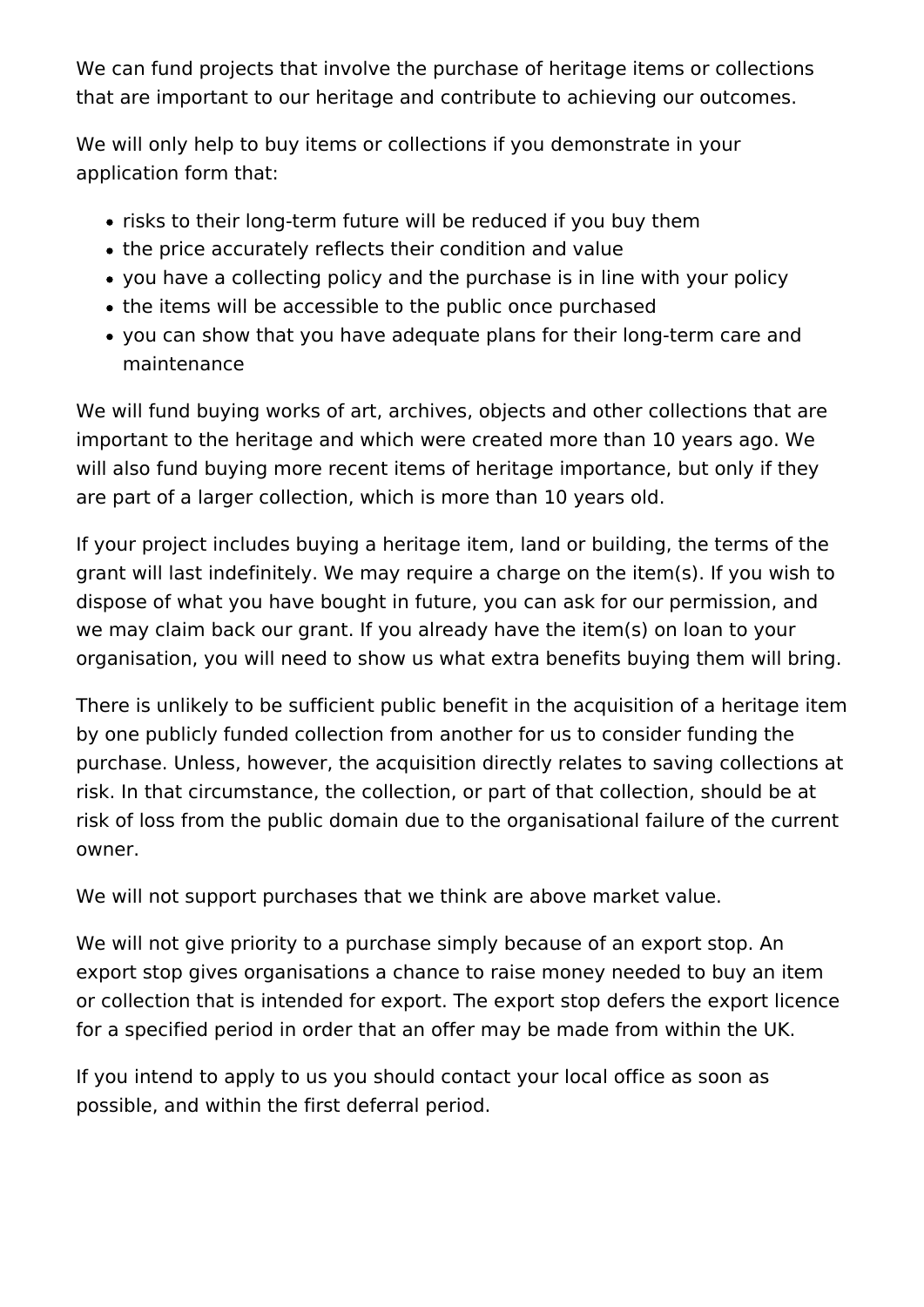We can fund projects that involve the purchase of heritage items or collections that are important to our heritage and contribute to achieving our outcomes.

We will only help to buy items or collections if you demonstrate in your application form that:

- risks to their long-term future will be reduced if you buy them
- the price accurately reflects their condition and value
- vou have a collecting policy and the purchase is in line with your policy
- the items will be accessible to the public once purchased
- you can show that you have adequate plans for their long-term care and maintenance

We will fund buying works of art, archives, objects and other collections that are important to the heritage and which were created more than 10 years ago. We will also fund buying more recent items of heritage importance, but only if they are part of a larger collection, which is more than 10 years old.

If your project includes buying a heritage item, land or building, the terms of the grant will last indefinitely. We may require a charge on the item(s). If you wish to dispose of what you have bought in future, you can ask for our permission, and we may claim back our grant. If you already have the item(s) on loan to your organisation, you will need to show us what extra benefits buying them will bring.

There is unlikely to be sufficient public benefit in the acquisition of a heritage item by one publicly funded collection from another for us to consider funding the purchase. Unless, however, the acquisition directly relates to saving collections at risk. In that circumstance, the collection, or part of that collection, should be at risk of loss from the public domain due to the organisational failure of the current owner.

We will not support purchases that we think are above market value.

We will not give priority to a purchase simply because of an export stop. An export stop gives organisations a chance to raise money needed to buy an item or collection that is intended for export. The export stop defers the export licence for a specified period in order that an offer may be made from within the UK.

If you intend to apply to us you should contact your local office as soon as possible, and within the first deferral period.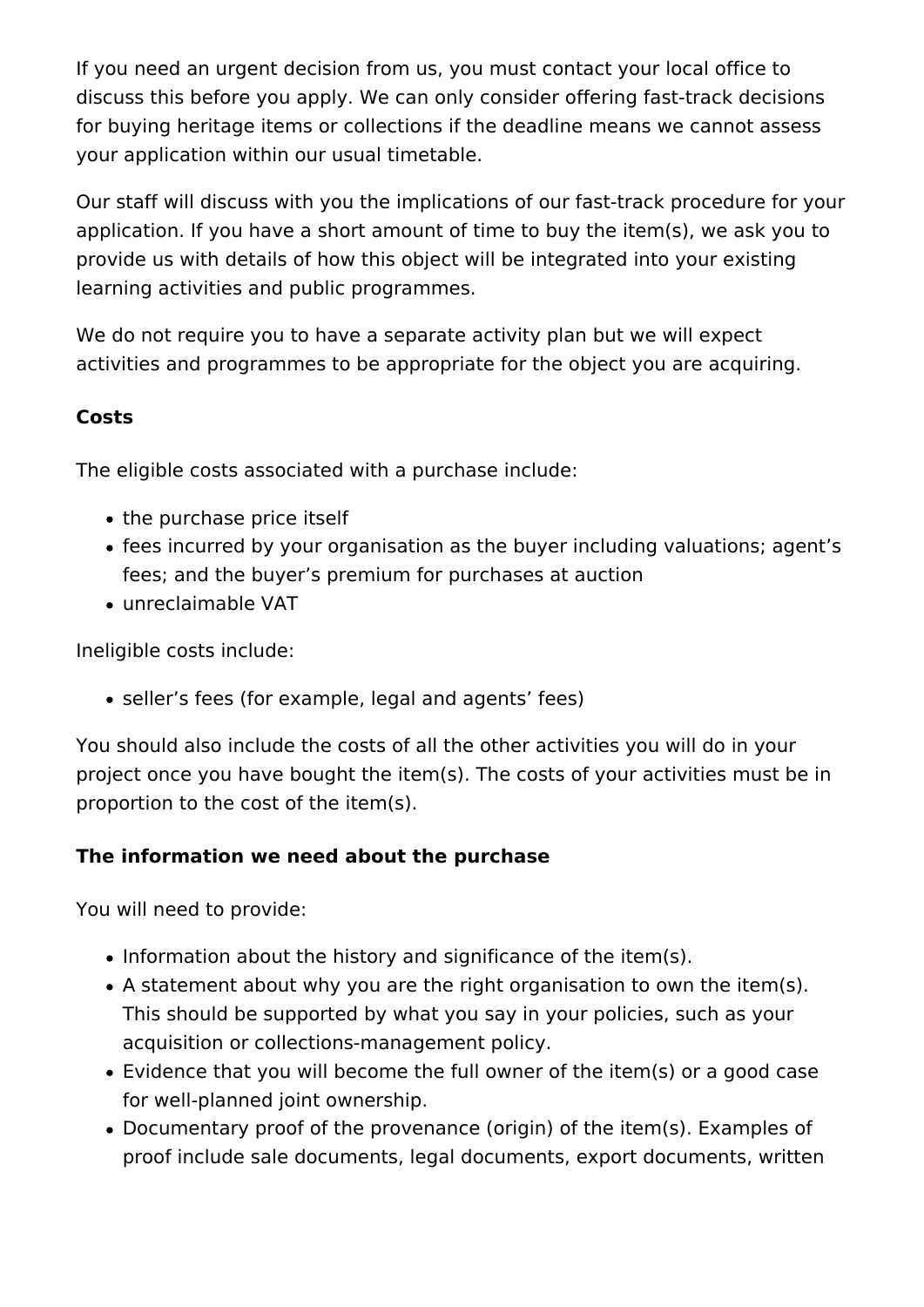If you need an urgent decision from us, you must contact your local office to discuss this before you apply. We can only consider offering fast-track decisions for buying heritage items or collections if the deadline means we cannot assess your application within our usual timetable.

Our staff will discuss with you the implications of our fast-track procedure for your application. If you have a short amount of time to buy the item(s), we ask you to provide us with details of how this object will be integrated into your existing learning activities and public programmes.

We do not require you to have a separate activity plan but we will expect activities and programmes to be appropriate for the object you are acquiring.

#### **Costs**

The eligible costs associated with a purchase include:

- the purchase price itself
- fees incurred by your organisation as the buyer including valuations; agent's fees; and the buyer's premium for purchases at auction
- unreclaimable VAT

Ineligible costs include:

seller's fees (for example, legal and agents' fees)

You should also include the costs of all the other activities you will do in your project once you have bought the item(s). The costs of your activities must be in proportion to the cost of the item(s).

### **The information we need about the purchase**

You will need to provide:

- Information about the history and significance of the item(s).
- A statement about why you are the right organisation to own the item(s). This should be supported by what you say in your policies, such as your acquisition or collections-management policy.
- Evidence that you will become the full owner of the item(s) or a good case for well-planned joint ownership.
- Documentary proof of the provenance (origin) of the item(s). Examples of proof include sale documents, legal documents, export documents, written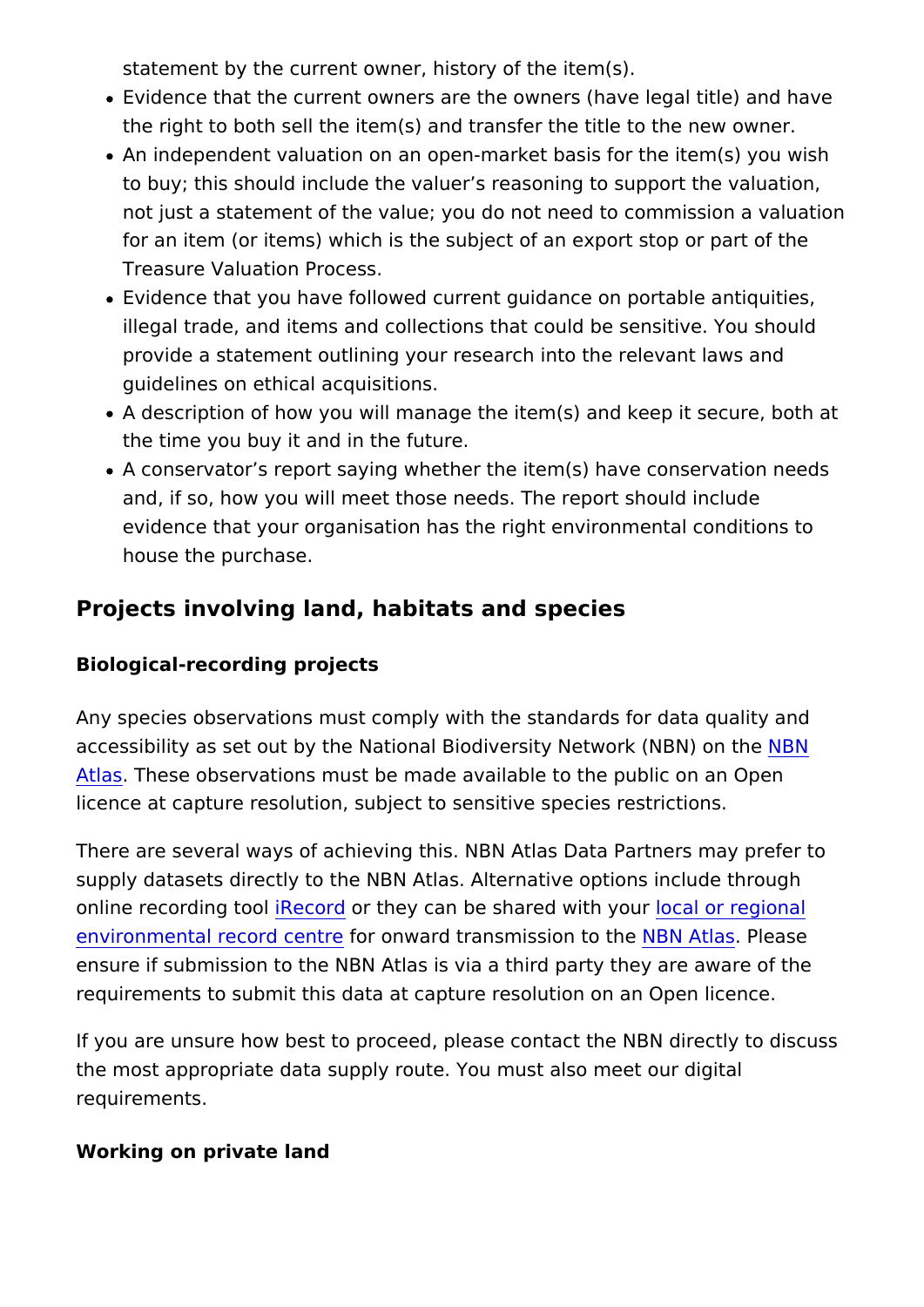statement by the current owner, history of the item(s).

- Evidence that the current owners are the owners (have legal the right to both sell the item(s) and transfer the title to the
- An independent valuation on an open-market basis for the it to buy; this should include the valuer s reasoning to suppor not just a statement of the value; you do not need to commi for an item (or items) which is the subject of an export stop Treasure Valuation Process.
- Evidence that you have followed current quidance on portab illegal trade, and items and collections that could be sensit provide a statement outlining your research into the relevan guidelines on ethical acquisitions.
- $\bullet$  A description of how you will manage the item(s) and keep i the time you buy it and in the future.
- A conservator s report saying whether the item(s) have cons and, if so, how you will meet those needs. The report should evidence that your organisation has the right environmental house the purchase.

Projects involving land, habitats and species

Biological-recording projects

Any species observations must comply with the standards for da accessibility as set out by the National Biodiversity NEEN work (N [Atla](https://nbnatlas.org/)sThese observations must be made available to the public on licence at capture resolution, subject to sensitive species restr

There are several ways of achieving this. NBN Atlas Data Partn supply datasets directly to the NBN Atlas. Alternative options in online recording R to they can be shared work alvo pureqional [environmental recor](http://www.alerc.org.uk/)d foe not mward transmission BNo Athe Blease ensure if submission to the NBN Atlas is via a third party they requirements to submit this data at capture resolution on an Op

If you are unsure how best to proceed, please contact the NBN the most appropriate data supply route. You must also meet our requirements.

Working on private land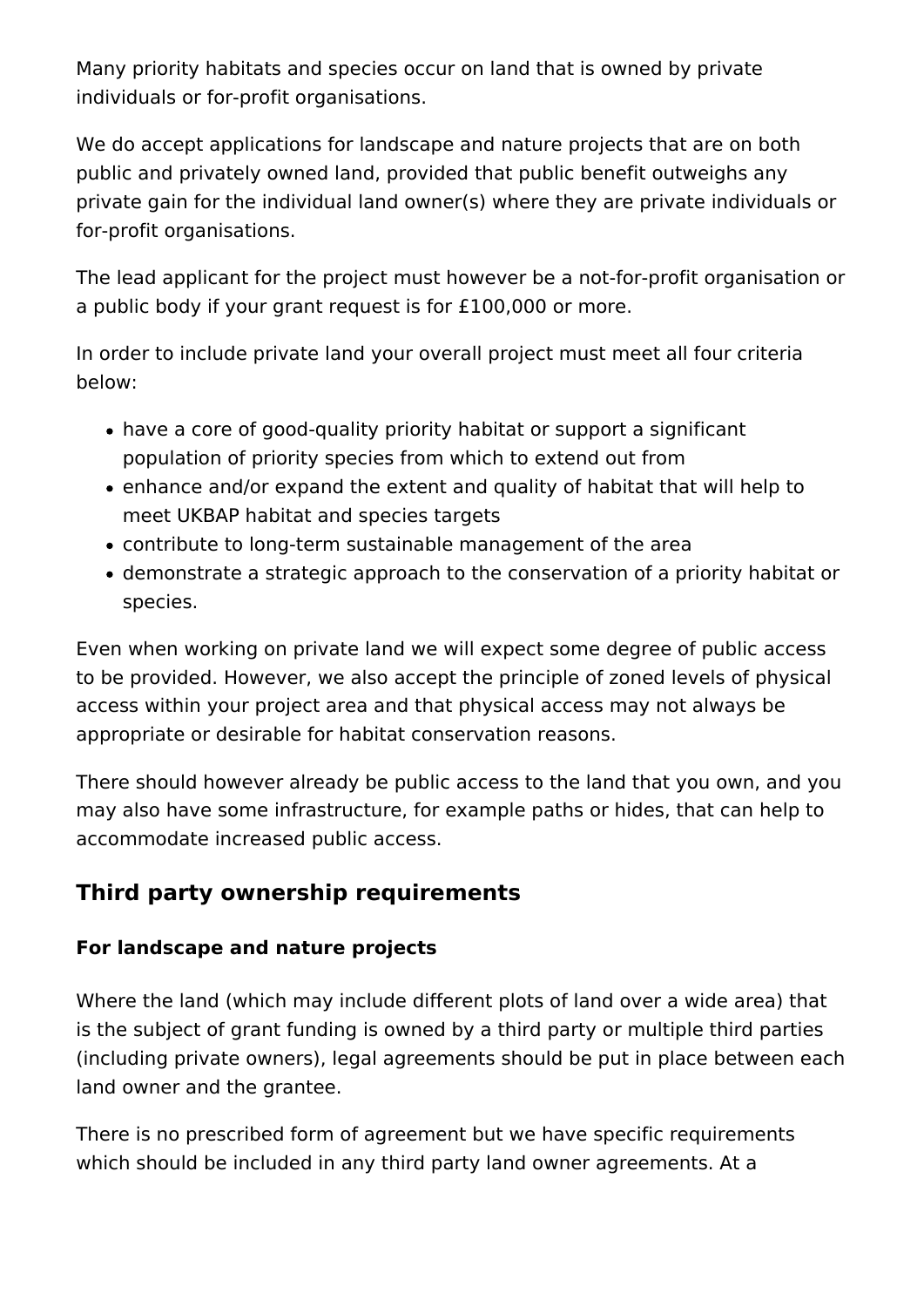Many priority habitats and species occur on land that is owned by private individuals or for-profit organisations.

We do accept applications for landscape and nature projects that are on both public and privately owned land, provided that public benefit outweighs any private gain for the individual land owner(s) where they are private individuals or for-profit organisations.

The lead applicant for the project must however be a not-for-profit organisation or a public body if your grant request is for £100,000 or more.

In order to include private land your overall project must meet all four criteria below:

- have a core of good-quality priority habitat or support a significant population of priority species from which to extend out from
- enhance and/or expand the extent and quality of habitat that will help to meet UKBAP habitat and species targets
- contribute to long-term sustainable management of the area
- demonstrate a strategic approach to the conservation of a priority habitat or species.

Even when working on private land we will expect some degree of public access to be provided. However, we also accept the principle of zoned levels of physical access within your project area and that physical access may not always be appropriate or desirable for habitat conservation reasons.

There should however already be public access to the land that you own, and you may also have some infrastructure, for example paths or hides, that can help to accommodate increased public access.

# **Third party ownership requirements**

### **For landscape and nature projects**

Where the land (which may include different plots of land over a wide area) that is the subject of grant funding is owned by a third party or multiple third parties (including private owners), legal agreements should be put in place between each land owner and the grantee.

There is no prescribed form of agreement but we have specific requirements which should be included in any third party land owner agreements. At a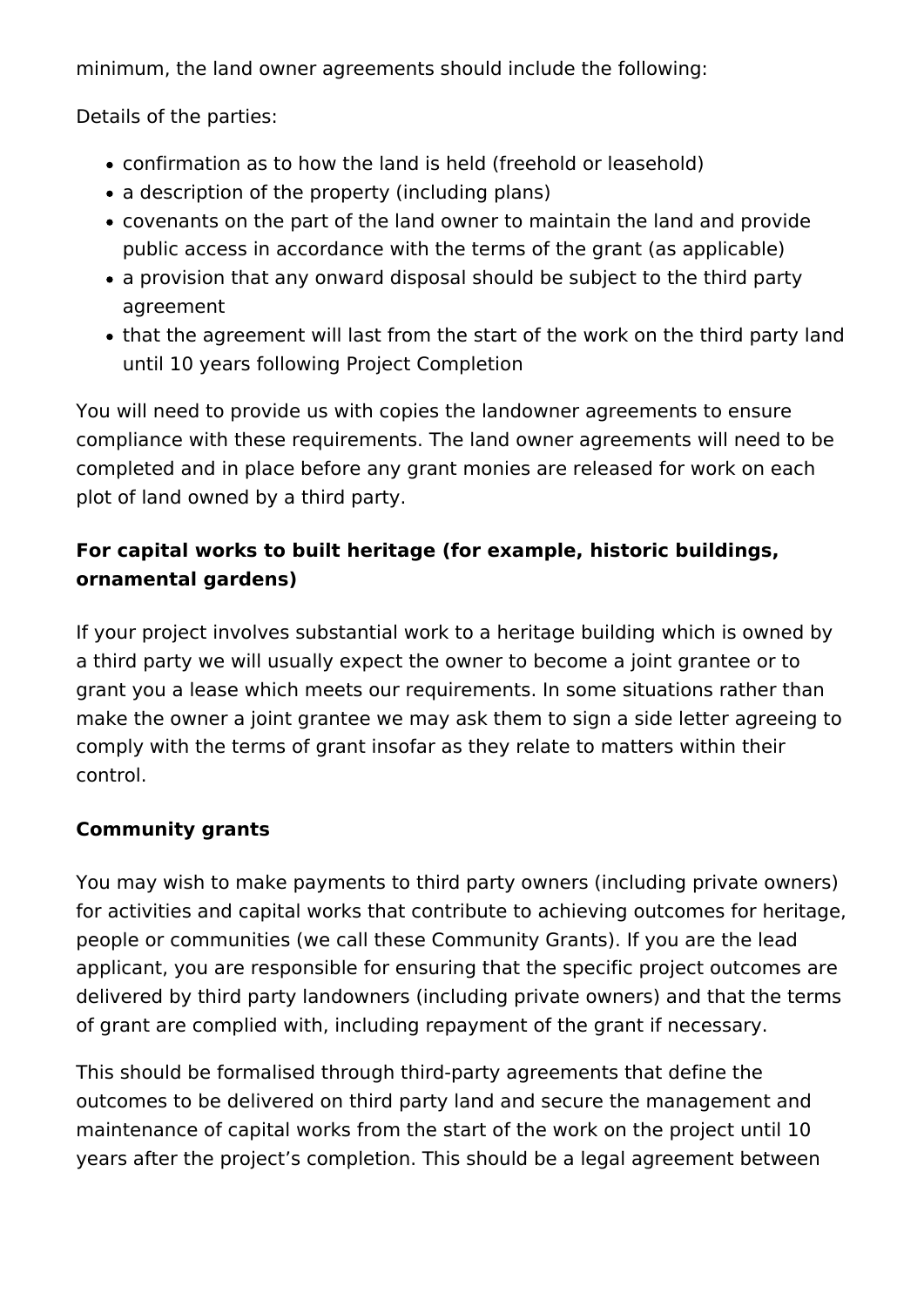minimum, the land owner agreements should include the following:

Details of the parties:

- confirmation as to how the land is held (freehold or leasehold)
- a description of the property (including plans)
- covenants on the part of the land owner to maintain the land and provide public access in accordance with the terms of the grant (as applicable)
- a provision that any onward disposal should be subject to the third party agreement
- that the agreement will last from the start of the work on the third party land until 10 years following Project Completion

You will need to provide us with copies the landowner agreements to ensure compliance with these requirements. The land owner agreements will need to be completed and in place before any grant monies are released for work on each plot of land owned by a third party.

### **For capital works to built heritage (for example, historic buildings, ornamental gardens)**

If your project involves substantial work to a heritage building which is owned by a third party we will usually expect the owner to become a joint grantee or to grant you a lease which meets our requirements. In some situations rather than make the owner a joint grantee we may ask them to sign a side letter agreeing to comply with the terms of grant insofar as they relate to matters within their control.

### **Community grants**

You may wish to make payments to third party owners (including private owners) for activities and capital works that contribute to achieving outcomes for heritage, people or communities (we call these Community Grants). If you are the lead applicant, you are responsible for ensuring that the specific project outcomes are delivered by third party landowners (including private owners) and that the terms of grant are complied with, including repayment of the grant if necessary.

This should be formalised through third-party agreements that define the outcomes to be delivered on third party land and secure the management and maintenance of capital works from the start of the work on the project until 10 years after the project's completion. This should be a legal agreement between